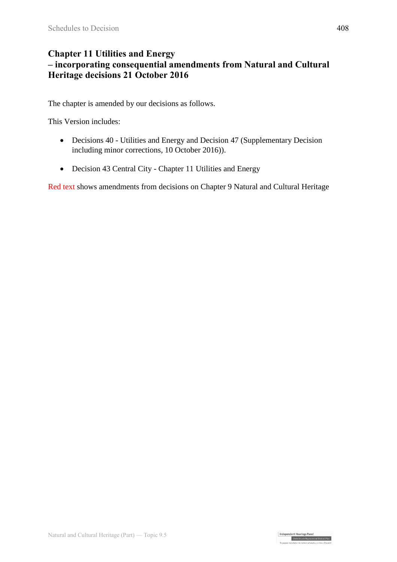#### **Chapter 11 Utilities and Energy – incorporating consequential amendments from Natural and Cultural Heritage decisions 21 October 2016**

The chapter is amended by our decisions as follows.

This Version includes:

- Decisions 40 Utilities and Energy and Decision 47 (Supplementary Decision including minor corrections, 10 October 2016)).
- Decision 43 Central City Chapter 11 Utilities and Energy

Red text shows amendments from decisions on Chapter 9 Natural and Cultural Heritage

Independent Hearings Panel<br>Christchurch Replacement District Plan<br>To contra statistic of a photo-photons rathe of Castel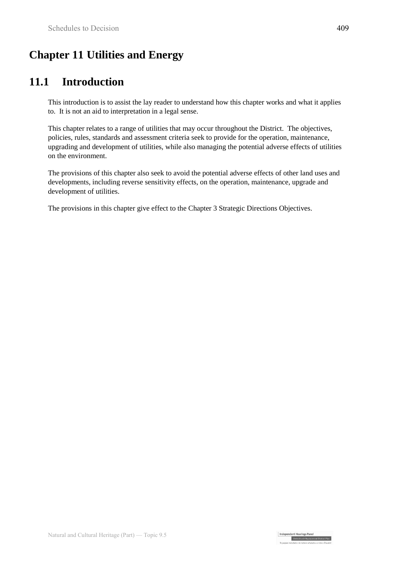# **Chapter 11 Utilities and Energy**

# **11.1 Introduction**

This introduction is to assist the lay reader to understand how this chapter works and what it applies to. It is not an aid to interpretation in a legal sense.

This chapter relates to a range of utilities that may occur throughout the District. The objectives, policies, rules, standards and assessment criteria seek to provide for the operation, maintenance, upgrading and development of utilities, while also managing the potential adverse effects of utilities on the environment.

The provisions of this chapter also seek to avoid the potential adverse effects of other land uses and developments, including reverse sensitivity effects, on the operation, maintenance, upgrade and development of utilities.

The provisions in this chapter give effect to the Chapter 3 Strategic Directions Objectives.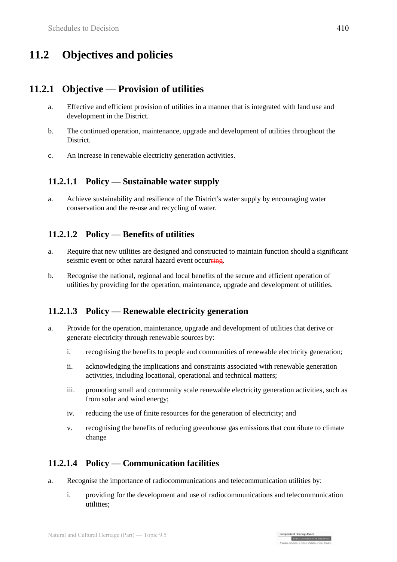# **11.2 Objectives and policies**

### **11.2.1 Objective — Provision of utilities**

- a. Effective and efficient provision of utilities in a manner that is integrated with land use and development in the District.
- b. The continued operation, maintenance, upgrade and development of utilities throughout the District.
- c. An increase in renewable electricity generation activities.

#### **11.2.1.1 Policy — Sustainable water supply**

a. Achieve sustainability and resilience of the District's water supply by encouraging water conservation and the re-use and recycling of water.

#### **11.2.1.2 Policy — Benefits of utilities**

- a. Require that new utilities are designed and constructed to maintain function should a significant seismic event or other natural hazard event occurring.
- b. Recognise the national, regional and local benefits of the secure and efficient operation of utilities by providing for the operation, maintenance, upgrade and development of utilities.

#### **11.2.1.3 Policy — Renewable electricity generation**

- a. Provide for the operation, maintenance, upgrade and development of utilities that derive or generate electricity through renewable sources by:
	- i. recognising the benefits to people and communities of renewable electricity generation;
	- ii. acknowledging the implications and constraints associated with renewable generation activities, including locational, operational and technical matters;
	- iii. promoting small and community scale renewable electricity generation activities, such as from solar and wind energy;
	- iv. reducing the use of finite resources for the generation of electricity; and
	- v. recognising the benefits of reducing greenhouse gas emissions that contribute to climate change

#### **11.2.1.4 Policy — Communication facilities**

- a. Recognise the importance of radiocommunications and telecommunication utilities by:
	- i. providing for the development and use of radiocommunications and telecommunication utilities;

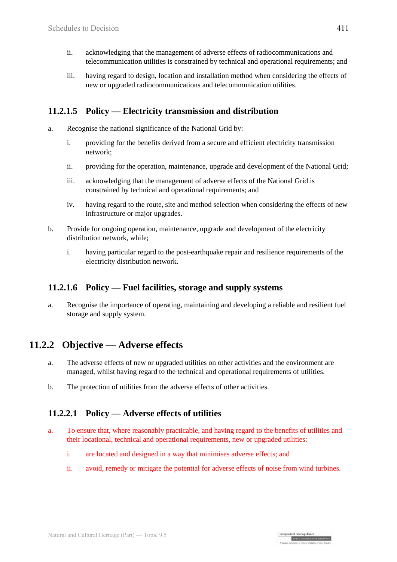- ii. acknowledging that the management of adverse effects of radiocommunications and telecommunication utilities is constrained by technical and operational requirements; and
- iii. having regard to design, location and installation method when considering the effects of new or upgraded radiocommunications and telecommunication utilities.

#### **11.2.1.5 Policy — Electricity transmission and distribution**

- a. Recognise the national significance of the National Grid by:
	- i. providing for the benefits derived from a secure and efficient electricity transmission network;
	- ii. providing for the operation, maintenance, upgrade and development of the National Grid;
	- iii. acknowledging that the management of adverse effects of the National Grid is constrained by technical and operational requirements; and
	- iv. having regard to the route, site and method selection when considering the effects of new infrastructure or major upgrades.
- b. Provide for ongoing operation, maintenance, upgrade and development of the electricity distribution network, while;
	- i. having particular regard to the post-earthquake repair and resilience requirements of the electricity distribution network.

#### **11.2.1.6 Policy — Fuel facilities, storage and supply systems**

a. Recognise the importance of operating, maintaining and developing a reliable and resilient fuel storage and supply system.

### **11.2.2 Objective — Adverse effects**

- a. The adverse effects of new or upgraded utilities on other activities and the environment are managed, whilst having regard to the technical and operational requirements of utilities.
- b. The protection of utilities from the adverse effects of other activities.

#### **11.2.2.1 Policy — Adverse effects of utilities**

- a. To ensure that, where reasonably practicable, and having regard to the benefits of utilities and their locational, technical and operational requirements, new or upgraded utilities:
	- i. are located and designed in a way that minimises adverse effects; and
	- ii. avoid, remedy or mitigate the potential for adverse effects of noise from wind turbines.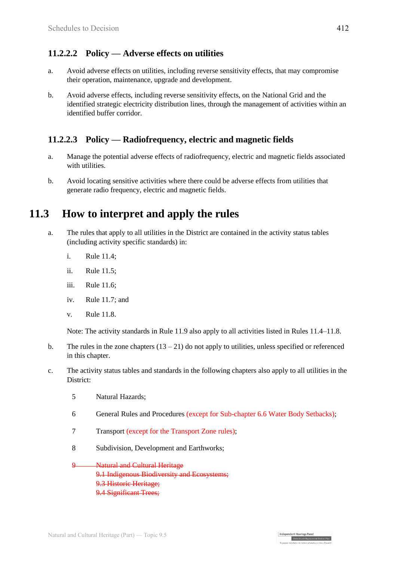#### **11.2.2.2 Policy — Adverse effects on utilities**

- a. Avoid adverse effects on utilities, including reverse sensitivity effects, that may compromise their operation, maintenance, upgrade and development.
- b. Avoid adverse effects, including reverse sensitivity effects, on the National Grid and the identified strategic electricity distribution lines, through the management of activities within an identified buffer corridor.

#### **11.2.2.3 Policy — Radiofrequency, electric and magnetic fields**

- a. Manage the potential adverse effects of radiofrequency, electric and magnetic fields associated with utilities.
- b. Avoid locating sensitive activities where there could be adverse effects from utilities that generate radio frequency, electric and magnetic fields.

## **11.3 How to interpret and apply the rules**

- a. The rules that apply to all utilities in the District are contained in the activity status tables (including activity specific standards) in:
	- i. Rule 11.4;
	- ii. Rule 11.5;
	- iii. Rule 11.6;
	- iv. Rule 11.7; and
	- v. Rule 11.8.

Note: The activity standards in Rule 11.9 also apply to all activities listed in Rules 11.4–11.8.

- b. The rules in the zone chapters  $(13 21)$  do not apply to utilities, unless specified or referenced in this chapter.
- c. The activity status tables and standards in the following chapters also apply to all utilities in the District:
	- 5 Natural Hazards;
	- 6 General Rules and Procedures (except for Sub-chapter 6.6 Water Body Setbacks);

Independent Hearings Panel

Christchurch Replacement District Plan

- 7 Transport (except for the Transport Zone rules);
- 8 Subdivision, Development and Earthworks;

**Natural and Cultural Heritage** 9.1 Indigenous Biodiversity and Ecosystems; 9.3 Historic Heritage; 9.4 Significant Trees;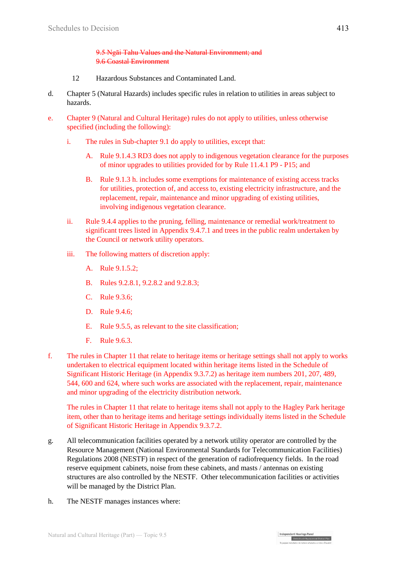9.5 Ngāi Tahu Values and the Natural Environment; and 9.6 Coastal Environment

- 12 Hazardous Substances and Contaminated Land.
- d. Chapter 5 (Natural Hazards) includes specific rules in relation to utilities in areas subject to hazards.
- e. Chapter 9 (Natural and Cultural Heritage) rules do not apply to utilities, unless otherwise specified (including the following):
	- i. The rules in Sub-chapter 9.1 do apply to utilities, except that:
		- A. Rule 9.1.4.3 RD3 does not apply to indigenous vegetation clearance for the purposes of minor upgrades to utilities provided for by Rule 11.4.1 P9 - P15; and
		- B. Rule 9.1.3 h. includes some exemptions for maintenance of existing access tracks for utilities, protection of, and access to, existing electricity infrastructure, and the replacement, repair, maintenance and minor upgrading of existing utilities, involving indigenous vegetation clearance.
	- ii. Rule 9.4.4 applies to the pruning, felling, maintenance or remedial work/treatment to significant trees listed in Appendix 9.4.7.1 and trees in the public realm undertaken by the Council or network utility operators.
	- iii. The following matters of discretion apply:
		- A. Rule 9.1.5.2;
		- B. Rules 9.2.8.1, 9.2.8.2 and 9.2.8.3;
		- C. Rule 9.3.6;
		- D. Rule 9.4.6;
		- E. Rule 9.5.5, as relevant to the site classification;
		- F. Rule 9.6.3.
- f. The rules in Chapter 11 that relate to heritage items or heritage settings shall not apply to works undertaken to electrical equipment located within heritage items listed in the Schedule of Significant Historic Heritage (in Appendix 9.3.7.2) as heritage item numbers 201, 207, 489, 544, 600 and 624, where such works are associated with the replacement, repair, maintenance and minor upgrading of the electricity distribution network.

The rules in Chapter 11 that relate to heritage items shall not apply to the Hagley Park heritage item, other than to heritage items and heritage settings individually items listed in the Schedule of Significant Historic Heritage in Appendix 9.3.7.2.

Independent Hearings Panel

Christchurch Replacement District Plan

- g. All telecommunication facilities operated by a network utility operator are controlled by the Resource Management (National Environmental Standards for Telecommunication Facilities) Regulations 2008 (NESTF) in respect of the generation of radiofrequency fields. In the road reserve equipment cabinets, noise from these cabinets, and masts / antennas on existing structures are also controlled by the NESTF. Other telecommunication facilities or activities will be managed by the District Plan.
- h. The NESTF manages instances where: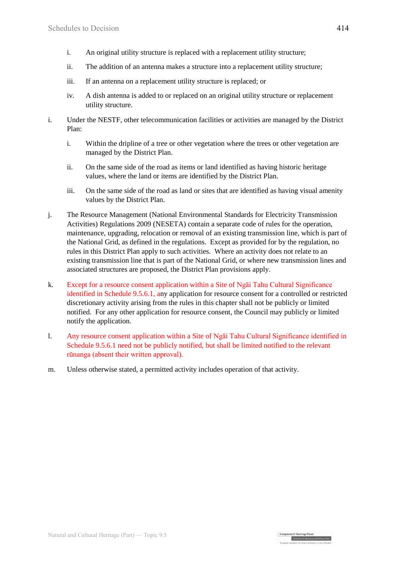- i. An original utility structure is replaced with a replacement utility structure;
- ii. The addition of an antenna makes a structure into a replacement utility structure;
- iii. If an antenna on a replacement utility structure is replaced; or
- iv. A dish antenna is added to or replaced on an original utility structure or replacement utility structure.
- i. Under the NESTF, other telecommunication facilities or activities are managed by the District Plan:
	- i. Within the dripline of a tree or other vegetation where the trees or other vegetation are managed by the District Plan.
	- ii. On the same side of the road as items or land identified as having historic heritage values, where the land or items are identified by the District Plan.
	- iii. On the same side of the road as land or sites that are identified as having visual amenity values by the District Plan.
- j. The Resource Management (National Environmental Standards for Electricity Transmission Activities) Regulations 2009 (NESETA) contain a separate code of rules for the operation, maintenance, upgrading, relocation or removal of an existing transmission line, which is part of the National Grid, as defined in the regulations. Except as provided for by the regulation, no rules in this District Plan apply to such activities. Where an activity does not relate to an existing transmission line that is part of the National Grid, or where new transmission lines and associated structures are proposed, the District Plan provisions apply.
- k. Except for a resource consent application within a Site of Ngāi Tahu Cultural Significance identified in Schedule 9.5.6.1, any application for resource consent for a controlled or restricted discretionary activity arising from the rules in this chapter shall not be publicly or limited notified. For any other application for resource consent, the Council may publicly or limited notify the application.
- l. Any resource consent application within a Site of Ngāi Tahu Cultural Significance identified in Schedule 9.5.6.1 need not be publicly notified, but shall be limited notified to the relevant rūnanga (absent their written approval).

Independent Hearings Pane

Christchurch Replacement District Plan

m. Unless otherwise stated, a permitted activity includes operation of that activity.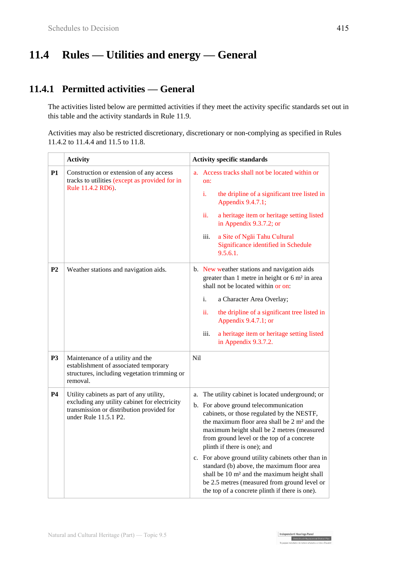# **11.4 Rules — Utilities and energy — General**

### **11.4.1 Permitted activities — General**

The activities listed below are permitted activities if they meet the activity specific standards set out in this table and the activity standards in Rule 11.9.

Activities may also be restricted discretionary, discretionary or non-complying as specified in Rules 11.4.2 to 11.4.4 and 11.5 to 11.8.

|                | <b>Activity</b>                                                                                                                                                 | <b>Activity specific standards</b>                                                                                                                                                                                                                                                                                                                                                                                                                                                                                                                                                                   |  |  |
|----------------|-----------------------------------------------------------------------------------------------------------------------------------------------------------------|------------------------------------------------------------------------------------------------------------------------------------------------------------------------------------------------------------------------------------------------------------------------------------------------------------------------------------------------------------------------------------------------------------------------------------------------------------------------------------------------------------------------------------------------------------------------------------------------------|--|--|
| <b>P1</b>      | Construction or extension of any access<br>tracks to utilities (except as provided for in<br>Rule 11.4.2 RD6).                                                  | a. Access tracks shall not be located within or<br>on:<br>i.<br>the dripline of a significant tree listed in<br>Appendix 9.4.7.1;<br>ii.<br>a heritage item or heritage setting listed<br>in Appendix 9.3.7.2; or<br>iii.<br>a Site of Ngai Tahu Cultural<br>Significance identified in Schedule<br>9.5.6.1.                                                                                                                                                                                                                                                                                         |  |  |
| P <sub>2</sub> | Weather stations and navigation aids.                                                                                                                           | b. New weather stations and navigation aids<br>greater than 1 metre in height or 6 m <sup>2</sup> in area<br>shall not be located within or on:<br>i.<br>a Character Area Overlay;<br>ii.<br>the dripline of a significant tree listed in<br>Appendix 9.4.7.1; or<br>iii.<br>a heritage item or heritage setting listed<br>in Appendix 9.3.7.2.                                                                                                                                                                                                                                                      |  |  |
| P <sub>3</sub> | Maintenance of a utility and the<br>establishment of associated temporary<br>structures, including vegetation trimming or<br>removal.                           | Nil                                                                                                                                                                                                                                                                                                                                                                                                                                                                                                                                                                                                  |  |  |
| <b>P4</b>      | Utility cabinets as part of any utility,<br>excluding any utility cabinet for electricity<br>transmission or distribution provided for<br>under Rule 11.5.1 P2. | The utility cabinet is located underground; or<br>a.<br>b. For above ground telecommunication<br>cabinets, or those regulated by the NESTF,<br>the maximum floor area shall be 2 m <sup>2</sup> and the<br>maximum height shall be 2 metres (measured<br>from ground level or the top of a concrete<br>plinth if there is one); and<br>c. For above ground utility cabinets other than in<br>standard (b) above, the maximum floor area<br>shall be 10 m <sup>2</sup> and the maximum height shall<br>be 2.5 metres (measured from ground level or<br>the top of a concrete plinth if there is one). |  |  |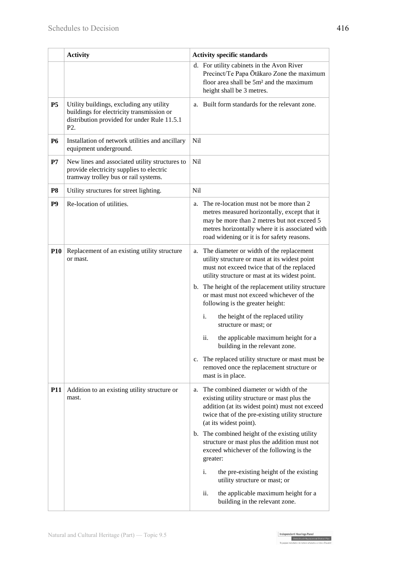|                | <b>Activity</b>                                                                                                                                          | <b>Activity specific standards</b>                                                                                                                                                                                                                                                                                                    |
|----------------|----------------------------------------------------------------------------------------------------------------------------------------------------------|---------------------------------------------------------------------------------------------------------------------------------------------------------------------------------------------------------------------------------------------------------------------------------------------------------------------------------------|
|                |                                                                                                                                                          | d. For utility cabinets in the Avon River<br>Precinct/Te Papa Ōtākaro Zone the maximum<br>floor area shall be 5m <sup>2</sup> and the maximum<br>height shall be 3 metres.                                                                                                                                                            |
| <b>P5</b>      | Utility buildings, excluding any utility<br>buildings for electricity transmission or<br>distribution provided for under Rule 11.5.1<br>P <sub>2</sub> . | a. Built form standards for the relevant zone.                                                                                                                                                                                                                                                                                        |
| <b>P6</b>      | Installation of network utilities and ancillary<br>equipment underground.                                                                                | <b>Nil</b>                                                                                                                                                                                                                                                                                                                            |
| P7             | New lines and associated utility structures to<br>provide electricity supplies to electric<br>tramway trolley bus or rail systems.                       | Nil                                                                                                                                                                                                                                                                                                                                   |
| <b>P8</b>      | Utility structures for street lighting.                                                                                                                  | <b>Nil</b>                                                                                                                                                                                                                                                                                                                            |
| P <sub>9</sub> | Re-location of utilities.                                                                                                                                | The re-location must not be more than 2<br>a.<br>metres measured horizontally, except that it<br>may be more than 2 metres but not exceed 5<br>metres horizontally where it is associated with<br>road widening or it is for safety reasons.                                                                                          |
| <b>P10</b>     | Replacement of an existing utility structure<br>or mast.                                                                                                 | The diameter or width of the replacement<br>a.<br>utility structure or mast at its widest point<br>must not exceed twice that of the replaced<br>utility structure or mast at its widest point.<br>b. The height of the replacement utility structure<br>or mast must not exceed whichever of the<br>following is the greater height: |
|                |                                                                                                                                                          | i.<br>the height of the replaced utility<br>structure or mast; or<br>ii.<br>the applicable maximum height for a<br>building in the relevant zone.                                                                                                                                                                                     |
|                |                                                                                                                                                          | c. The replaced utility structure or mast must be<br>removed once the replacement structure or<br>mast is in place.                                                                                                                                                                                                                   |
| <b>P11</b>     | Addition to an existing utility structure or<br>mast.                                                                                                    | a. The combined diameter or width of the<br>existing utility structure or mast plus the<br>addition (at its widest point) must not exceed<br>twice that of the pre-existing utility structure<br>(at its widest point).                                                                                                               |
|                |                                                                                                                                                          | b. The combined height of the existing utility<br>structure or mast plus the addition must not<br>exceed whichever of the following is the<br>greater:                                                                                                                                                                                |
|                |                                                                                                                                                          | i.<br>the pre-existing height of the existing<br>utility structure or mast; or                                                                                                                                                                                                                                                        |
|                |                                                                                                                                                          | ii.<br>the applicable maximum height for a<br>building in the relevant zone.                                                                                                                                                                                                                                                          |

Independent Hearings Panel<br>Christchurch Replacement District Plan<br>To agent application of a make only the base of fourth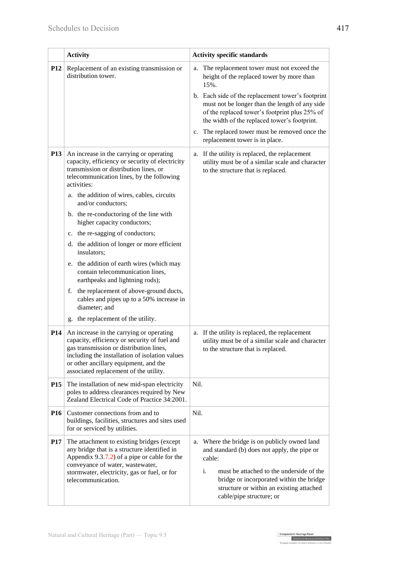|            | <b>Activity</b>                                                                                                                                                                                                                                                                                                                                                                                                                                                                                                                                                                                                                                                                                                          | <b>Activity specific standards</b>                                                                                                                                                                                                                                               |  |
|------------|--------------------------------------------------------------------------------------------------------------------------------------------------------------------------------------------------------------------------------------------------------------------------------------------------------------------------------------------------------------------------------------------------------------------------------------------------------------------------------------------------------------------------------------------------------------------------------------------------------------------------------------------------------------------------------------------------------------------------|----------------------------------------------------------------------------------------------------------------------------------------------------------------------------------------------------------------------------------------------------------------------------------|--|
| <b>P12</b> | Replacement of an existing transmission or<br>distribution tower.                                                                                                                                                                                                                                                                                                                                                                                                                                                                                                                                                                                                                                                        | The replacement tower must not exceed the<br>a.<br>height of the replaced tower by more than<br>15%.                                                                                                                                                                             |  |
|            |                                                                                                                                                                                                                                                                                                                                                                                                                                                                                                                                                                                                                                                                                                                          | b. Each side of the replacement tower's footprint<br>must not be longer than the length of any side<br>of the replaced tower's footprint plus 25% of<br>the width of the replaced tower's footprint.                                                                             |  |
|            |                                                                                                                                                                                                                                                                                                                                                                                                                                                                                                                                                                                                                                                                                                                          | c. The replaced tower must be removed once the<br>replacement tower is in place.                                                                                                                                                                                                 |  |
| <b>P13</b> | An increase in the carrying or operating<br>capacity, efficiency or security of electricity<br>transmission or distribution lines, or<br>telecommunication lines, by the following<br>activities:<br>a. the addition of wires, cables, circuits<br>and/or conductors;<br>b. the re-conductoring of the line with<br>higher capacity conductors;<br>c. the re-sagging of conductors;<br>d. the addition of longer or more efficient<br>insulators;<br>e. the addition of earth wires (which may<br>contain telecommunication lines,<br>earthpeaks and lightning rods);<br>the replacement of above-ground ducts,<br>f.<br>cables and pipes up to a 50% increase in<br>diameter; and<br>g. the replacement of the utility. | a. If the utility is replaced, the replacement<br>utility must be of a similar scale and character<br>to the structure that is replaced.                                                                                                                                         |  |
| <b>P14</b> | An increase in the carrying or operating                                                                                                                                                                                                                                                                                                                                                                                                                                                                                                                                                                                                                                                                                 | If the utility is replaced, the replacement<br>a.                                                                                                                                                                                                                                |  |
|            | capacity, efficiency or security of fuel and<br>gas transmission or distribution lines,<br>including the installation of isolation values<br>or other ancillary equipment, and the<br>associated replacement of the utility.                                                                                                                                                                                                                                                                                                                                                                                                                                                                                             | utility must be of a similar scale and character<br>to the structure that is replaced.                                                                                                                                                                                           |  |
| <b>P15</b> | The installation of new mid-span electricity<br>poles to address clearances required by New<br>Zealand Electrical Code of Practice 34:2001.                                                                                                                                                                                                                                                                                                                                                                                                                                                                                                                                                                              | Nil.                                                                                                                                                                                                                                                                             |  |
| <b>P16</b> | Customer connections from and to<br>buildings, facilities, structures and sites used<br>for or serviced by utilities.                                                                                                                                                                                                                                                                                                                                                                                                                                                                                                                                                                                                    | Nil.                                                                                                                                                                                                                                                                             |  |
| <b>P17</b> | The attachment to existing bridges (except<br>any bridge that is a structure identified in<br>Appendix $9.3.7.2$ of a pipe or cable for the<br>conveyance of water, wastewater,<br>stormwater, electricity, gas or fuel, or for<br>telecommunication.                                                                                                                                                                                                                                                                                                                                                                                                                                                                    | Where the bridge is on publicly owned land<br>a.<br>and standard (b) does not apply, the pipe or<br>cable:<br>i.<br>must be attached to the underside of the<br>bridge or incorporated within the bridge<br>structure or within an existing attached<br>cable/pipe structure; or |  |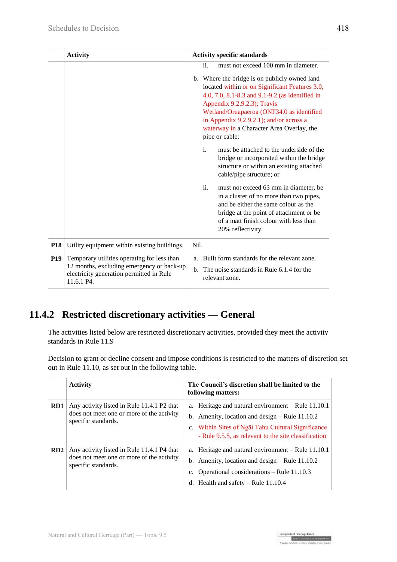|            | <b>Activity</b>                                                                                                                                    | <b>Activity specific standards</b>                                                                                                                                                                                                                                                                                                                                                     |  |
|------------|----------------------------------------------------------------------------------------------------------------------------------------------------|----------------------------------------------------------------------------------------------------------------------------------------------------------------------------------------------------------------------------------------------------------------------------------------------------------------------------------------------------------------------------------------|--|
|            |                                                                                                                                                    | must not exceed 100 mm in diameter.<br>ii.<br>b. Where the bridge is on publicly owned land<br>located within or on Significant Features 3.0,<br>4.0, 7.0, 8.1-8.3 and 9.1-9.2 (as identified in<br>Appendix 9.2.9.2.3); Travis<br>Wetland/Oruapaeroa (ONF34.0 as identified<br>in Appendix 9.2.9.2.1); and/or across a<br>waterway in a Character Area Overlay, the<br>pipe or cable: |  |
|            |                                                                                                                                                    | i.<br>must be attached to the underside of the<br>bridge or incorporated within the bridge<br>structure or within an existing attached<br>cable/pipe structure; or                                                                                                                                                                                                                     |  |
|            |                                                                                                                                                    | ii.<br>must not exceed 63 mm in diameter, be<br>in a cluster of no more than two pipes,<br>and be either the same colour as the<br>bridge at the point of attachment or be<br>of a matt finish colour with less than<br>20% reflectivity.                                                                                                                                              |  |
| <b>P18</b> | Utility equipment within existing buildings.                                                                                                       | Nil.                                                                                                                                                                                                                                                                                                                                                                                   |  |
| <b>P19</b> | Temporary utilities operating for less than<br>12 months, excluding emergency or back-up<br>electricity generation permitted in Rule<br>11.6.1 P4. | Built form standards for the relevant zone.<br>a.<br>The noise standards in Rule 6.1.4 for the<br>$\mathbf{b}$ .<br>relevant zone.                                                                                                                                                                                                                                                     |  |

## **11.4.2 Restricted discretionary activities — General**

The activities listed below are restricted discretionary activities, provided they meet the activity standards in Rule 11.9

Decision to grant or decline consent and impose conditions is restricted to the matters of discretion set out in Rule 11.10, as set out in the following table.

|     | <b>Activity</b>                                                                                                | The Council's discretion shall be limited to the<br>following matters:                                                                                                                                               |
|-----|----------------------------------------------------------------------------------------------------------------|----------------------------------------------------------------------------------------------------------------------------------------------------------------------------------------------------------------------|
| RD1 | Any activity listed in Rule 11.4.1 P2 that<br>does not meet one or more of the activity<br>specific standards. | a. Heritage and natural environment – Rule 11.10.1<br>b. Amenity, location and design $-$ Rule 11.10.2<br>c. Within Sites of Ngai Tahu Cultural Significance<br>- Rule 9.5.5, as relevant to the site classification |
| RD2 | Any activity listed in Rule 11.4.1 P4 that<br>does not meet one or more of the activity<br>specific standards. | a. Heritage and natural environment – Rule 11.10.1<br>b. Amenity, location and design $-$ Rule 11.10.2<br>c. Operational considerations – Rule 11.10.3<br>d. Health and safety $-$ Rule 11.10.4                      |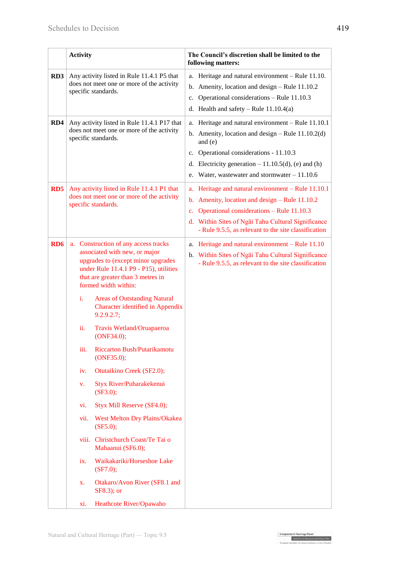|                 | <b>Activity</b>                                                                                                                                                                                                                                                                                                                                                                                                                                                                                                                                                                                                                                                                                                                                                      |  | The Council's discretion shall be limited to the<br>following matters:                                                                                                                                                                                                       |  |
|-----------------|----------------------------------------------------------------------------------------------------------------------------------------------------------------------------------------------------------------------------------------------------------------------------------------------------------------------------------------------------------------------------------------------------------------------------------------------------------------------------------------------------------------------------------------------------------------------------------------------------------------------------------------------------------------------------------------------------------------------------------------------------------------------|--|------------------------------------------------------------------------------------------------------------------------------------------------------------------------------------------------------------------------------------------------------------------------------|--|
| RD3             | Any activity listed in Rule 11.4.1 P5 that<br>does not meet one or more of the activity<br>specific standards.                                                                                                                                                                                                                                                                                                                                                                                                                                                                                                                                                                                                                                                       |  | a. Heritage and natural environment - Rule 11.10.<br>b. Amenity, location and design $-$ Rule 11.10.2<br>c. Operational considerations - Rule 11.10.3<br>d. Health and safety – Rule $11.10.4(a)$                                                                            |  |
| RD4             | Any activity listed in Rule 11.4.1 P17 that<br>does not meet one or more of the activity<br>specific standards.                                                                                                                                                                                                                                                                                                                                                                                                                                                                                                                                                                                                                                                      |  | a. Heritage and natural environment - Rule 11.10.1<br>b. Amenity, location and design $-$ Rule 11.10.2(d)<br>and $(e)$<br>c. Operational considerations - 11.10.3<br>d. Electricity generation $-11.10.5(d)$ , (e) and (h)<br>e. Water, wastewater and stormwater $-11.10.6$ |  |
| RD5             | Any activity listed in Rule 11.4.1 P1 that<br>does not meet one or more of the activity<br>specific standards.                                                                                                                                                                                                                                                                                                                                                                                                                                                                                                                                                                                                                                                       |  | a. Heritage and natural environment – Rule 11.10.1<br>b. Amenity, location and design $-$ Rule 11.10.2<br>c. Operational considerations - Rule 11.10.3<br>d. Within Sites of Ngai Tahu Cultural Significance<br>- Rule 9.5.5, as relevant to the site classification         |  |
| RD <sub>6</sub> | a. Construction of any access tracks<br>associated with new, or major<br>upgrades to (except minor upgrades<br>under Rule 11.4.1 P9 - P15), utilities<br>that are greater than 3 metres in<br>formed width within:<br>i.<br><b>Areas of Outstanding Natural</b><br>Character identified in Appendix<br>9.2.9.2.7;<br>Travis Wetland/Oruapaeroa<br>ii.<br>(ONF34.0);<br>Riccarton Bush/Putarikamotu<br>iii.<br>(ONF35.0);<br>Otutaikino Creek (SF2.0);<br>iv.<br>Styx River/Puharakekenui<br>V.<br>(SF3.0);<br>Styx Mill Reserve (SF4.0);<br>vi.<br>West Melton Dry Plains/Okakea<br>vii.<br>(SF5.0);<br>viii. Christchurch Coast/Te Tai o<br>Mahaanui (SF6.0);<br>Waikakariki/Horseshoe Lake<br>ix.<br>(SF7.0);<br>Otakaro/Avon River (SF8.1 and<br>X.<br>SF8.3); or |  | a. Heritage and natural environment – Rule 11.10<br>b. Within Sites of Ngai Tahu Cultural Significance<br>- Rule 9.5.5, as relevant to the site classification                                                                                                               |  |

Independent Hearings Panel<br>Christchurch Replacement District Plan<br>Theorete Christian de makers makeban a reken Orania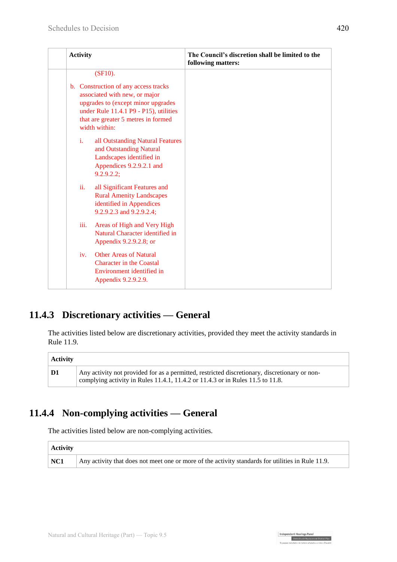| <b>Activity</b>                                                                                                                                                                                               | The Council's discretion shall be limited to the<br>following matters: |
|---------------------------------------------------------------------------------------------------------------------------------------------------------------------------------------------------------------|------------------------------------------------------------------------|
| $(SF10)$ .                                                                                                                                                                                                    |                                                                        |
| b. Construction of any access tracks<br>associated with new, or major<br>upgrades to (except minor upgrades<br>under Rule 11.4.1 P9 - P15), utilities<br>that are greater 5 metres in formed<br>width within: |                                                                        |
| i.<br>all Outstanding Natural Features<br>and Outstanding Natural<br>Landscapes identified in<br>Appendices 9.2.9.2.1 and<br>9.2.9.2.2;                                                                       |                                                                        |
| ii.<br>all Significant Features and<br><b>Rural Amenity Landscapes</b><br>identified in Appendices<br>9.2.9.2.3 and 9.2.9.2.4;                                                                                |                                                                        |
| iii.<br>Areas of High and Very High<br>Natural Character identified in<br>Appendix 9.2.9.2.8; or                                                                                                              |                                                                        |
| <b>Other Areas of Natural</b><br>iv.<br><b>Character in the Coastal</b><br>Environment identified in<br>Appendix 9.2.9.2.9.                                                                                   |                                                                        |

### **11.4.3 Discretionary activities — General**

The activities listed below are discretionary activities, provided they meet the activity standards in Rule 11.9.

| Activity |                                                                                                                                                                                 |
|----------|---------------------------------------------------------------------------------------------------------------------------------------------------------------------------------|
| D1       | Any activity not provided for as a permitted, restricted discretionary, discretionary or non-<br>complying activity in Rules 11.4.1, 11.4.2 or 11.4.3 or in Rules 11.5 to 11.8. |

### **11.4.4 Non-complying activities — General**

The activities listed below are non-complying activities.

| Activity    |                                                                                                   |  |  |
|-------------|---------------------------------------------------------------------------------------------------|--|--|
| $\vert$ NC1 | Any activity that does not meet one or more of the activity standards for utilities in Rule 11.9. |  |  |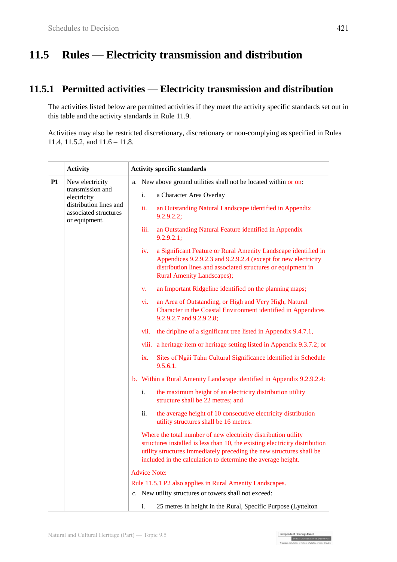# **11.5 Rules — Electricity transmission and distribution**

### **11.5.1 Permitted activities — Electricity transmission and distribution**

The activities listed below are permitted activities if they meet the activity specific standards set out in this table and the activity standards in Rule 11.9.

Activities may also be restricted discretionary, discretionary or non-complying as specified in Rules 11.4, 11.5.2, and 11.6 – 11.8.

|    | <b>Activity</b>                                                                                     | <b>Activity specific standards</b> |                                                                                                                                                                                                                                                                                       |
|----|-----------------------------------------------------------------------------------------------------|------------------------------------|---------------------------------------------------------------------------------------------------------------------------------------------------------------------------------------------------------------------------------------------------------------------------------------|
| P1 | New electricity                                                                                     | a.                                 | New above ground utilities shall not be located within or on:                                                                                                                                                                                                                         |
|    | transmission and<br>electricity<br>distribution lines and<br>associated structures<br>or equipment. | i.                                 | a Character Area Overlay                                                                                                                                                                                                                                                              |
|    |                                                                                                     | ii.                                | an Outstanding Natural Landscape identified in Appendix<br>9.2.9.2.2;                                                                                                                                                                                                                 |
|    |                                                                                                     | iii.                               | an Outstanding Natural Feature identified in Appendix<br>9.2.9.2.1;                                                                                                                                                                                                                   |
|    |                                                                                                     | iv.                                | a Significant Feature or Rural Amenity Landscape identified in<br>Appendices 9.2.9.2.3 and 9.2.9.2.4 (except for new electricity<br>distribution lines and associated structures or equipment in<br><b>Rural Amenity Landscapes);</b>                                                 |
|    |                                                                                                     | V.                                 | an Important Ridgeline identified on the planning maps;                                                                                                                                                                                                                               |
|    |                                                                                                     | vi.                                | an Area of Outstanding, or High and Very High, Natural<br>Character in the Coastal Environment identified in Appendices<br>9.2.9.2.7 and 9.2.9.2.8;                                                                                                                                   |
|    |                                                                                                     | vii.                               | the dripline of a significant tree listed in Appendix 9.4.7.1,                                                                                                                                                                                                                        |
|    |                                                                                                     |                                    | viii. a heritage item or heritage setting listed in Appendix 9.3.7.2; or                                                                                                                                                                                                              |
|    |                                                                                                     | ix.                                | Sites of Ngai Tahu Cultural Significance identified in Schedule<br>9.5.6.1.                                                                                                                                                                                                           |
|    |                                                                                                     |                                    | b. Within a Rural Amenity Landscape identified in Appendix 9.2.9.2.4:                                                                                                                                                                                                                 |
|    |                                                                                                     | i.                                 | the maximum height of an electricity distribution utility<br>structure shall be 22 metres; and                                                                                                                                                                                        |
|    |                                                                                                     | ii.                                | the average height of 10 consecutive electricity distribution<br>utility structures shall be 16 metres.                                                                                                                                                                               |
|    |                                                                                                     |                                    | Where the total number of new electricity distribution utility<br>structures installed is less than 10, the existing electricity distribution<br>utility structures immediately preceding the new structures shall be<br>included in the calculation to determine the average height. |
|    |                                                                                                     | <b>Advice Note:</b>                |                                                                                                                                                                                                                                                                                       |
|    |                                                                                                     |                                    | Rule 11.5.1 P2 also applies in Rural Amenity Landscapes.                                                                                                                                                                                                                              |
|    |                                                                                                     |                                    | c. New utility structures or towers shall not exceed:                                                                                                                                                                                                                                 |
|    |                                                                                                     | i.                                 | 25 metres in height in the Rural, Specific Purpose (Lyttelton                                                                                                                                                                                                                         |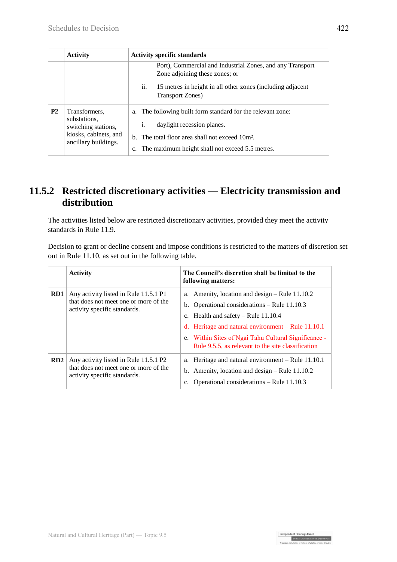|           | <b>Activity</b>                                                                                       | <b>Activity specific standards</b>                                                                                                                                                                                         |  |
|-----------|-------------------------------------------------------------------------------------------------------|----------------------------------------------------------------------------------------------------------------------------------------------------------------------------------------------------------------------------|--|
|           |                                                                                                       | Port), Commercial and Industrial Zones, and any Transport<br>Zone adjoining these zones; or                                                                                                                                |  |
|           |                                                                                                       | ii.<br>15 metres in height in all other zones (including adjacent<br><b>Transport Zones</b> )                                                                                                                              |  |
| <b>P2</b> | Transformers.<br>substations,<br>switching stations,<br>kiosks, cabinets, and<br>ancillary buildings. | The following built form standard for the relevant zone:<br>a.<br>daylight recession planes.<br>i.<br>b. The total floor area shall not exceed 10m <sup>2</sup> .<br>The maximum height shall not exceed 5.5 metres.<br>c. |  |

### **11.5.2 Restricted discretionary activities — Electricity transmission and distribution**

The activities listed below are restricted discretionary activities, provided they meet the activity standards in Rule 11.9.

Decision to grant or decline consent and impose conditions is restricted to the matters of discretion set out in Rule 11.10, as set out in the following table.

|     | <b>Activity</b>                                                                                                | The Council's discretion shall be limited to the<br>following matters:                                                                                                                                                                                                                                            |
|-----|----------------------------------------------------------------------------------------------------------------|-------------------------------------------------------------------------------------------------------------------------------------------------------------------------------------------------------------------------------------------------------------------------------------------------------------------|
| RD1 | Any activity listed in Rule 11.5.1 P1<br>that does not meet one or more of the<br>activity specific standards. | a. Amenity, location and design $-$ Rule 11.10.2<br>b. Operational considerations $-$ Rule 11.10.3<br>c. Health and safety $-$ Rule 11.10.4<br>d. Heritage and natural environment $-$ Rule 11.10.1<br>e. Within Sites of Ngai Tahu Cultural Significance -<br>Rule 9.5.5, as relevant to the site classification |
| RD2 | Any activity listed in Rule 11.5.1 P2<br>that does not meet one or more of the<br>activity specific standards. | a. Heritage and natural environment – Rule 11.10.1<br>b. Amenity, location and design $-$ Rule 11.10.2<br>Operational considerations – Rule 11.10.3<br>c.                                                                                                                                                         |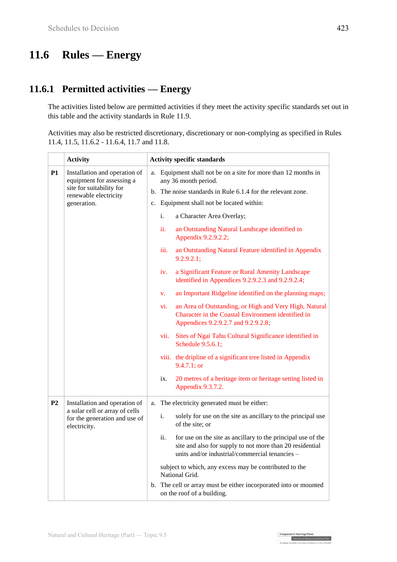# **11.6 Rules — Energy**

### **11.6.1 Permitted activities — Energy**

The activities listed below are permitted activities if they meet the activity specific standards set out in this table and the activity standards in Rule 11.9.

Activities may also be restricted discretionary, discretionary or non-complying as specified in Rules 11.4, 11.5, 11.6.2 - 11.6.4, 11.7 and 11.8.

|                | <b>Activity</b>                                                                                                                |          |      | <b>Activity specific standards</b>                                                                                                                                                           |
|----------------|--------------------------------------------------------------------------------------------------------------------------------|----------|------|----------------------------------------------------------------------------------------------------------------------------------------------------------------------------------------------|
| P1             | Installation and operation of<br>equipment for assessing a<br>site for suitability for<br>renewable electricity<br>generation. | a.<br>c. |      | Equipment shall not be on a site for more than 12 months in<br>any 36 month period.<br>b. The noise standards in Rule 6.1.4 for the relevant zone.<br>Equipment shall not be located within: |
|                |                                                                                                                                |          | i.   | a Character Area Overlay;                                                                                                                                                                    |
|                |                                                                                                                                |          | ii.  | an Outstanding Natural Landscape identified in<br>Appendix 9.2.9.2.2;                                                                                                                        |
|                |                                                                                                                                |          | iii. | an Outstanding Natural Feature identified in Appendix<br>9.2.9.2.1;                                                                                                                          |
|                |                                                                                                                                |          | iv.  | a Significant Feature or Rural Amenity Landscape<br>identified in Appendices 9.2.9.2.3 and 9.2.9.2.4;                                                                                        |
|                |                                                                                                                                |          | V.   | an Important Ridgeline identified on the planning maps;                                                                                                                                      |
|                |                                                                                                                                |          | vi.  | an Area of Outstanding, or High and Very High, Natural<br>Character in the Coastal Environment identified in<br>Appendices 9.2.9.2.7 and 9.2.9.2.8;                                          |
|                |                                                                                                                                |          | vii. | Sites of Ngai Tahu Cultural Significance identified in<br>Schedule 9.5.6.1;                                                                                                                  |
|                |                                                                                                                                |          |      | viii. the dripline of a significant tree listed in Appendix<br>9.4.7.1; or                                                                                                                   |
|                |                                                                                                                                |          | ix.  | 20 metres of a heritage item or heritage setting listed in<br>Appendix 9.3.7.2.                                                                                                              |
| P <sub>2</sub> | Installation and operation of                                                                                                  | a.       |      | The electricity generated must be either:                                                                                                                                                    |
|                | a solar cell or array of cells<br>for the generation and use of<br>electricity.                                                |          | i.   | solely for use on the site as ancillary to the principal use<br>of the site; or                                                                                                              |
|                |                                                                                                                                |          | ii.  | for use on the site as ancillary to the principal use of the<br>site and also for supply to not more than 20 residential<br>units and/or industrial/commercial tenancies -                   |
|                |                                                                                                                                |          |      | subject to which, any excess may be contributed to the<br>National Grid.                                                                                                                     |
|                |                                                                                                                                |          |      | b. The cell or array must be either incorporated into or mounted<br>on the roof of a building.                                                                                               |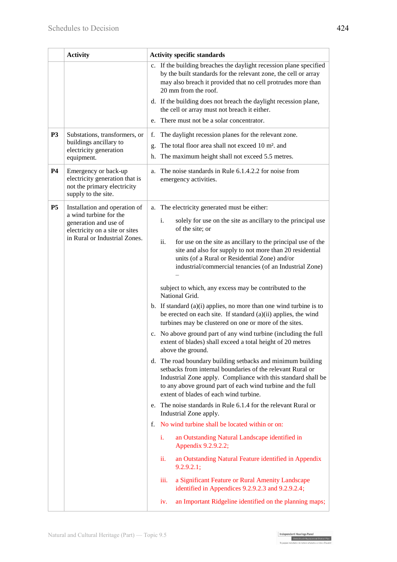|                | <b>Activity</b>                                                                                              | <b>Activity specific standards</b>                                                                                                                                                                                                                                                                 |
|----------------|--------------------------------------------------------------------------------------------------------------|----------------------------------------------------------------------------------------------------------------------------------------------------------------------------------------------------------------------------------------------------------------------------------------------------|
|                |                                                                                                              | c. If the building breaches the daylight recession plane specified<br>by the built standards for the relevant zone, the cell or array<br>may also breach it provided that no cell protrudes more than<br>20 mm from the roof.<br>d. If the building does not breach the daylight recession plane,  |
|                |                                                                                                              | the cell or array must not breach it either.<br>There must not be a solar concentrator.<br>e.                                                                                                                                                                                                      |
| <b>P3</b>      | Substations, transformers, or                                                                                | f.<br>The daylight recession planes for the relevant zone.                                                                                                                                                                                                                                         |
|                | buildings ancillary to<br>electricity generation<br>equipment.                                               | The total floor area shall not exceed 10 m <sup>2</sup> . and<br>g.<br>The maximum height shall not exceed 5.5 metres.<br>h.                                                                                                                                                                       |
| <b>P4</b>      | Emergency or back-up<br>electricity generation that is<br>not the primary electricity<br>supply to the site. | The noise standards in Rule 6.1.4.2.2 for noise from<br>a.<br>emergency activities.                                                                                                                                                                                                                |
| P <sub>5</sub> | Installation and operation of                                                                                | The electricity generated must be either:<br>a.                                                                                                                                                                                                                                                    |
|                | a wind turbine for the<br>generation and use of<br>electricity on a site or sites                            | $\mathbf{i}$ .<br>solely for use on the site as ancillary to the principal use<br>of the site; or                                                                                                                                                                                                  |
|                | in Rural or Industrial Zones.                                                                                | ii.<br>for use on the site as ancillary to the principal use of the<br>site and also for supply to not more than 20 residential<br>units (of a Rural or Residential Zone) and/or<br>industrial/commercial tenancies (of an Industrial Zone)                                                        |
|                |                                                                                                              | subject to which, any excess may be contributed to the<br>National Grid.                                                                                                                                                                                                                           |
|                |                                                                                                              | b. If standard $(a)(i)$ applies, no more than one wind turbine is to<br>be erected on each site. If standard (a)(ii) applies, the wind<br>turbines may be clustered on one or more of the sites.                                                                                                   |
|                |                                                                                                              | c. No above ground part of any wind turbine (including the full<br>extent of blades) shall exceed a total height of 20 metres<br>above the ground.                                                                                                                                                 |
|                |                                                                                                              | d. The road boundary building setbacks and minimum building<br>setbacks from internal boundaries of the relevant Rural or<br>Industrial Zone apply. Compliance with this standard shall be<br>to any above ground part of each wind turbine and the full<br>extent of blades of each wind turbine. |
|                |                                                                                                              | e. The noise standards in Rule 6.1.4 for the relevant Rural or<br>Industrial Zone apply.                                                                                                                                                                                                           |
|                |                                                                                                              | No wind turbine shall be located within or on:<br>f.                                                                                                                                                                                                                                               |
|                |                                                                                                              | an Outstanding Natural Landscape identified in<br>i.<br>Appendix 9.2.9.2.2;                                                                                                                                                                                                                        |
|                |                                                                                                              | ii.<br>an Outstanding Natural Feature identified in Appendix<br>9.2.9.2.1;                                                                                                                                                                                                                         |
|                |                                                                                                              | iii.<br>a Significant Feature or Rural Amenity Landscape<br>identified in Appendices 9.2.9.2.3 and 9.2.9.2.4;                                                                                                                                                                                      |
|                |                                                                                                              | an Important Ridgeline identified on the planning maps;<br>iv.                                                                                                                                                                                                                                     |

Independent Hearings Panel<br>Christchurch Replacement District Plan<br>Te gaegae motubake o te mahore ubakabou a robe o Ötautab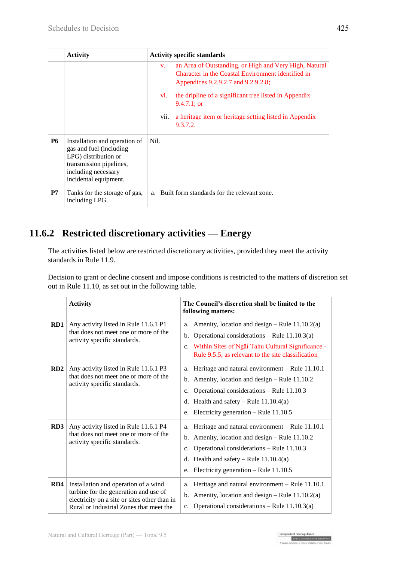|           | <b>Activity</b>                                                                                                                                              | <b>Activity specific standards</b>                                                                                                                                 |
|-----------|--------------------------------------------------------------------------------------------------------------------------------------------------------------|--------------------------------------------------------------------------------------------------------------------------------------------------------------------|
|           |                                                                                                                                                              | an Area of Outstanding, or High and Very High, Natural<br>$V_{\star}$<br>Character in the Coastal Environment identified in<br>Appendices 9.2.9.2.7 and 9.2.9.2.8; |
|           |                                                                                                                                                              | the dripline of a significant tree listed in Appendix<br>V1.<br>$9.4.7.1$ ; or                                                                                     |
|           |                                                                                                                                                              | a heritage item or heritage setting listed in Appendix<br>vii.<br>9.3.7.2.                                                                                         |
| <b>P6</b> | Installation and operation of<br>gas and fuel (including)<br>LPG) distribution or<br>transmission pipelines,<br>including necessary<br>incidental equipment. | Nil.                                                                                                                                                               |
| P7        | Tanks for the storage of gas,<br>including LPG.                                                                                                              | a. Built form standards for the relevant zone.                                                                                                                     |

### **11.6.2 Restricted discretionary activities — Energy**

The activities listed below are restricted discretionary activities, provided they meet the activity standards in Rule 11.9.

Decision to grant or decline consent and impose conditions is restricted to the matters of discretion set out in Rule 11.10, as set out in the following table.

|     | <b>Activity</b>                                                                                                                                                          | The Council's discretion shall be limited to the<br>following matters:                                                                                                                                                                                     |
|-----|--------------------------------------------------------------------------------------------------------------------------------------------------------------------------|------------------------------------------------------------------------------------------------------------------------------------------------------------------------------------------------------------------------------------------------------------|
| RD1 | Any activity listed in Rule 11.6.1 P1<br>that does not meet one or more of the<br>activity specific standards.                                                           | Amenity, location and design – Rule $11.10.2(a)$<br>a.<br>Operational considerations – Rule $11.10.3(a)$<br>b.<br>Within Sites of Ngai Tahu Cultural Significance -<br>c.<br>Rule 9.5.5, as relevant to the site classification                            |
| RD2 | Any activity listed in Rule 11.6.1 P3<br>that does not meet one or more of the<br>activity specific standards.                                                           | Heritage and natural environment - Rule 11.10.1<br>a.<br>Amenity, location and design – Rule 11.10.2<br>b.<br>Operational considerations - Rule 11.10.3<br>c.<br>d. Health and safety – Rule $11.10.4(a)$<br>Electricity generation – Rule $11.10.5$<br>e. |
| RD3 | Any activity listed in Rule 11.6.1 P4<br>that does not meet one or more of the<br>activity specific standards.                                                           | Heritage and natural environment – Rule 11.10.1<br>a.<br>Amenity, location and design – Rule 11.10.2<br>b.<br>Operational considerations - Rule 11.10.3<br>c.<br>d. Health and safety – Rule $11.10.4(a)$<br>Electricity generation – Rule $11.10.5$<br>e. |
| RD4 | Installation and operation of a wind<br>turbine for the generation and use of<br>electricity on a site or sites other than in<br>Rural or Industrial Zones that meet the | Heritage and natural environment - Rule 11.10.1<br>a.<br>b. Amenity, location and design – Rule $11.10.2(a)$<br>Operational considerations – Rule $11.10.3(a)$<br>$c_{\cdot}$                                                                              |

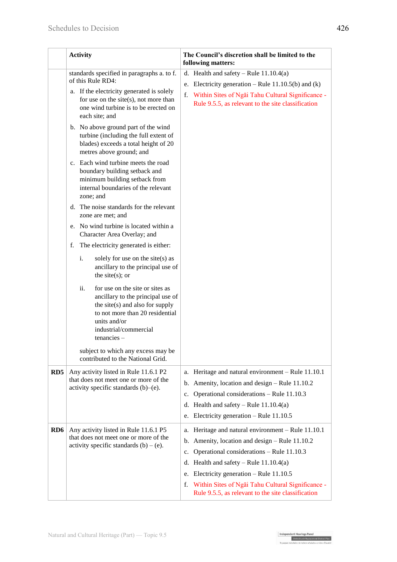|                 | <b>Activity</b>                                                                                                                                                                                                                                                                                                                                                                                                                                                                                                                                                                                                                                                                                                                                                                                                                                                                                                                                                                                                                                           | The Council's discretion shall be limited to the<br>following matters:                                                                                                                                                                                                                                                                                                         |  |  |  |
|-----------------|-----------------------------------------------------------------------------------------------------------------------------------------------------------------------------------------------------------------------------------------------------------------------------------------------------------------------------------------------------------------------------------------------------------------------------------------------------------------------------------------------------------------------------------------------------------------------------------------------------------------------------------------------------------------------------------------------------------------------------------------------------------------------------------------------------------------------------------------------------------------------------------------------------------------------------------------------------------------------------------------------------------------------------------------------------------|--------------------------------------------------------------------------------------------------------------------------------------------------------------------------------------------------------------------------------------------------------------------------------------------------------------------------------------------------------------------------------|--|--|--|
|                 | standards specified in paragraphs a. to f.<br>of this Rule RD4:<br>a. If the electricity generated is solely<br>for use on the site $(s)$ , not more than<br>one wind turbine is to be erected on<br>each site; and<br>b. No above ground part of the wind<br>turbine (including the full extent of<br>blades) exceeds a total height of 20<br>metres above ground; and<br>c. Each wind turbine meets the road<br>boundary building setback and<br>minimum building setback from<br>internal boundaries of the relevant<br>zone; and<br>d. The noise standards for the relevant<br>zone are met; and<br>e. No wind turbine is located within a<br>Character Area Overlay; and<br>The electricity generated is either:<br>f.<br>solely for use on the site $(s)$ as<br>i.<br>ancillary to the principal use of<br>the site $(s)$ ; or<br>ii.<br>for use on the site or sites as<br>ancillary to the principal use of<br>the site $(s)$ and also for supply<br>to not more than 20 residential<br>units and/or<br>industrial/commercial<br>$t$ enancies $-$ | d. Health and safety – Rule $11.10.4(a)$<br>e. Electricity generation – Rule $11.10.5(b)$ and (k)<br>f. Within Sites of Ngai Tahu Cultural Significance -<br>Rule 9.5.5, as relevant to the site classification                                                                                                                                                                |  |  |  |
|                 | subject to which any excess may be<br>contributed to the National Grid.                                                                                                                                                                                                                                                                                                                                                                                                                                                                                                                                                                                                                                                                                                                                                                                                                                                                                                                                                                                   |                                                                                                                                                                                                                                                                                                                                                                                |  |  |  |
| RD5             | Any activity listed in Rule 11.6.1 P2<br>that does not meet one or more of the<br>activity specific standards $(b)$ – $(e)$ .                                                                                                                                                                                                                                                                                                                                                                                                                                                                                                                                                                                                                                                                                                                                                                                                                                                                                                                             | Heritage and natural environment - Rule 11.10.1<br>a.<br>Amenity, location and design - Rule 11.10.2<br>b.<br>Operational considerations - Rule 11.10.3<br>c.<br>d. Health and safety – Rule $11.10.4(a)$<br>Electricity generation - Rule 11.10.5<br>e.                                                                                                                       |  |  |  |
| RD <sub>6</sub> | Any activity listed in Rule 11.6.1 P5<br>that does not meet one or more of the<br>activity specific standards $(b) - (e)$ .                                                                                                                                                                                                                                                                                                                                                                                                                                                                                                                                                                                                                                                                                                                                                                                                                                                                                                                               | Heritage and natural environment - Rule 11.10.1<br>a.<br>Amenity, location and design - Rule 11.10.2<br>b.<br>Operational considerations - Rule 11.10.3<br>c.<br>Health and safety – Rule $11.10.4(a)$<br>d.<br>Electricity generation – Rule $11.10.5$<br>e.<br>Within Sites of Ngai Tahu Cultural Significance -<br>f.<br>Rule 9.5.5, as relevant to the site classification |  |  |  |

Independent Hearings Panel<br>Christchurch Replacement District Plan<br>Te gaegae motubake o te mahore ubakabou a robe o Ötautab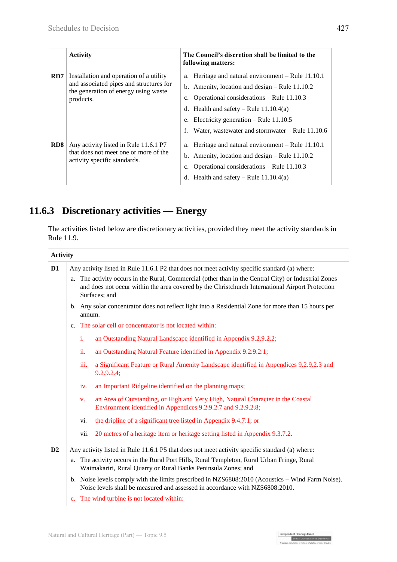|     | <b>Activity</b>                                                                                                                         | The Council's discretion shall be limited to the<br>following matters:                                                                                                                                                                                                                                         |
|-----|-----------------------------------------------------------------------------------------------------------------------------------------|----------------------------------------------------------------------------------------------------------------------------------------------------------------------------------------------------------------------------------------------------------------------------------------------------------------|
| RD7 | Installation and operation of a utility<br>and associated pipes and structures for<br>the generation of energy using waste<br>products. | a. Heritage and natural environment – Rule 11.10.1<br>b. Amenity, location and design $-$ Rule 11.10.2<br>c. Operational considerations $-$ Rule 11.10.3<br>d. Health and safety – Rule $11.10.4(a)$<br>e. Electricity generation – Rule $11.10.5$<br>Water, was tewater and stormwater $-$ Rule 11.10.6<br>f. |
| RD8 | Any activity listed in Rule 11.6.1 P7<br>that does not meet one or more of the<br>activity specific standards.                          | a. Heritage and natural environment – Rule 11.10.1<br>b. Amenity, location and design $-$ Rule 11.10.2<br>c. Operational considerations $-$ Rule 11.10.3<br>d. Health and safety – Rule $11.10.4(a)$                                                                                                           |

# **11.6.3 Discretionary activities — Energy**

The activities listed below are discretionary activities, provided they meet the activity standards in Rule 11.9.

| <b>Activity</b> |                                                                                                                                                                |                                                                |                                                                                                                                                                                                                       |  |  |  |
|-----------------|----------------------------------------------------------------------------------------------------------------------------------------------------------------|----------------------------------------------------------------|-----------------------------------------------------------------------------------------------------------------------------------------------------------------------------------------------------------------------|--|--|--|
| D <sub>1</sub>  | Any activity listed in Rule 11.6.1 P2 that does not meet activity specific standard (a) where:                                                                 |                                                                |                                                                                                                                                                                                                       |  |  |  |
|                 | a.                                                                                                                                                             |                                                                | The activity occurs in the Rural, Commercial (other than in the Central City) or Industrial Zones<br>and does not occur within the area covered by the Christchurch International Airport Protection<br>Surfaces; and |  |  |  |
|                 |                                                                                                                                                                | annum.                                                         | b. Any solar concentrator does not reflect light into a Residential Zone for more than 15 hours per                                                                                                                   |  |  |  |
|                 |                                                                                                                                                                |                                                                | c. The solar cell or concentrator is not located within:                                                                                                                                                              |  |  |  |
|                 |                                                                                                                                                                | i.                                                             | an Outstanding Natural Landscape identified in Appendix 9.2.9.2.2;                                                                                                                                                    |  |  |  |
|                 |                                                                                                                                                                | ii.                                                            | an Outstanding Natural Feature identified in Appendix 9.2.9.2.1;                                                                                                                                                      |  |  |  |
|                 |                                                                                                                                                                | iii.                                                           | a Significant Feature or Rural Amenity Landscape identified in Appendices 9.2.9.2.3 and<br>9.2.9.2.4;                                                                                                                 |  |  |  |
|                 |                                                                                                                                                                | an Important Ridgeline identified on the planning maps;<br>iv. |                                                                                                                                                                                                                       |  |  |  |
|                 |                                                                                                                                                                | V.                                                             | an Area of Outstanding, or High and Very High, Natural Character in the Coastal<br>Environment identified in Appendices 9.2.9.2.7 and 9.2.9.2.8;                                                                      |  |  |  |
|                 |                                                                                                                                                                | vi.                                                            | the dripline of a significant tree listed in Appendix 9.4.7.1; or                                                                                                                                                     |  |  |  |
|                 |                                                                                                                                                                | vii.                                                           | 20 metres of a heritage item or heritage setting listed in Appendix 9.3.7.2.                                                                                                                                          |  |  |  |
| D2              | Any activity listed in Rule 11.6.1 P5 that does not meet activity specific standard (a) where:                                                                 |                                                                |                                                                                                                                                                                                                       |  |  |  |
|                 | The activity occurs in the Rural Port Hills, Rural Templeton, Rural Urban Fringe, Rural<br>a.<br>Waimakariri, Rural Quarry or Rural Banks Peninsula Zones; and |                                                                |                                                                                                                                                                                                                       |  |  |  |
|                 |                                                                                                                                                                |                                                                | b. Noise levels comply with the limits prescribed in NZS6808:2010 (Acoustics – Wind Farm Noise).<br>Noise levels shall be measured and assessed in accordance with NZS6808:2010.                                      |  |  |  |
|                 |                                                                                                                                                                |                                                                | c. The wind turbine is not located within:                                                                                                                                                                            |  |  |  |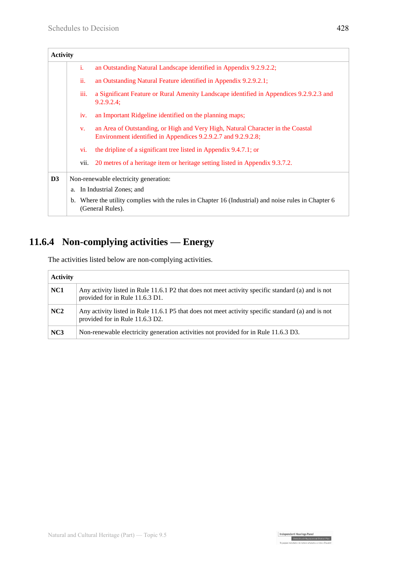| <b>Activity</b> |                                                                                                                             |                                                                                                                                                  |  |  |  |  |
|-----------------|-----------------------------------------------------------------------------------------------------------------------------|--------------------------------------------------------------------------------------------------------------------------------------------------|--|--|--|--|
|                 | i.                                                                                                                          | an Outstanding Natural Landscape identified in Appendix 9.2.9.2.2;                                                                               |  |  |  |  |
|                 | ii.                                                                                                                         | an Outstanding Natural Feature identified in Appendix 9.2.9.2.1;                                                                                 |  |  |  |  |
|                 | iii.                                                                                                                        | a Significant Feature or Rural Amenity Landscape identified in Appendices 9.2.9.2.3 and<br>9.2.9.2.4;                                            |  |  |  |  |
|                 | iv.                                                                                                                         | an Important Ridgeline identified on the planning maps;                                                                                          |  |  |  |  |
|                 | $V_{\star}$                                                                                                                 | an Area of Outstanding, or High and Very High, Natural Character in the Coastal<br>Environment identified in Appendices 9.2.9.2.7 and 9.2.9.2.8; |  |  |  |  |
|                 | vi.                                                                                                                         | the dripline of a significant tree listed in Appendix 9.4.7.1; or                                                                                |  |  |  |  |
|                 | vii.                                                                                                                        | 20 metres of a heritage item or heritage setting listed in Appendix 9.3.7.2.                                                                     |  |  |  |  |
| D3              | Non-renewable electricity generation:                                                                                       |                                                                                                                                                  |  |  |  |  |
|                 | a. In Industrial Zones; and                                                                                                 |                                                                                                                                                  |  |  |  |  |
|                 | Where the utility complies with the rules in Chapter 16 (Industrial) and noise rules in Chapter 6<br>b.<br>(General Rules). |                                                                                                                                                  |  |  |  |  |

# **11.6.4 Non-complying activities — Energy**

The activities listed below are non-complying activities.

| <b>Activity</b> |                                                                                                                                       |  |  |  |  |  |
|-----------------|---------------------------------------------------------------------------------------------------------------------------------------|--|--|--|--|--|
| NC1             | Any activity listed in Rule 11.6.1 P2 that does not meet activity specific standard (a) and is not<br>provided for in Rule 11.6.3 D1. |  |  |  |  |  |
| NC2             | Any activity listed in Rule 11.6.1 P5 that does not meet activity specific standard (a) and is not<br>provided for in Rule 11.6.3 D2. |  |  |  |  |  |
| NC3             | Non-renewable electricity generation activities not provided for in Rule 11.6.3 D3.                                                   |  |  |  |  |  |

Independent Hearings Panel<br>Christchurch Replacement District Plan<br>Te oaepae motulisée o te mahere whatabou a robe o Otautah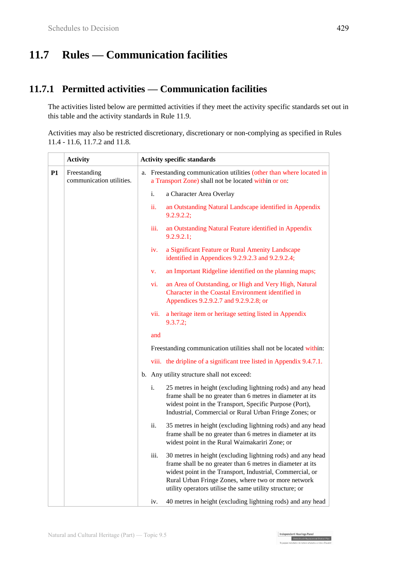# **11.7 Rules — Communication facilities**

### **11.7.1 Permitted activities — Communication facilities**

The activities listed below are permitted activities if they meet the activity specific standards set out in this table and the activity standards in Rule 11.9.

Activities may also be restricted discretionary, discretionary or non-complying as specified in Rules 11.4 - 11.6, 11.7.2 and 11.8.

|    | <b>Activity</b>                          | <b>Activity specific standards</b> |                                                                                                                                                                                                                                                                                                                   |
|----|------------------------------------------|------------------------------------|-------------------------------------------------------------------------------------------------------------------------------------------------------------------------------------------------------------------------------------------------------------------------------------------------------------------|
| P1 | Freestanding<br>communication utilities. |                                    | a. Freestanding communication utilities (other than where located in<br>a Transport Zone) shall not be located within or on:                                                                                                                                                                                      |
|    |                                          |                                    | i.<br>a Character Area Overlay                                                                                                                                                                                                                                                                                    |
|    |                                          |                                    | ii.<br>an Outstanding Natural Landscape identified in Appendix<br>9.2.9.2.2;                                                                                                                                                                                                                                      |
|    |                                          |                                    | iii.<br>an Outstanding Natural Feature identified in Appendix<br>9.2.9.2.1;                                                                                                                                                                                                                                       |
|    |                                          |                                    | a Significant Feature or Rural Amenity Landscape<br>iv.<br>identified in Appendices 9.2.9.2.3 and 9.2.9.2.4;                                                                                                                                                                                                      |
|    |                                          |                                    | an Important Ridgeline identified on the planning maps;<br>V.                                                                                                                                                                                                                                                     |
|    |                                          |                                    | an Area of Outstanding, or High and Very High, Natural<br>vi.<br>Character in the Coastal Environment identified in<br>Appendices 9.2.9.2.7 and 9.2.9.2.8; or                                                                                                                                                     |
|    |                                          |                                    | a heritage item or heritage setting listed in Appendix<br>vii.<br>9.3.7.2;                                                                                                                                                                                                                                        |
|    |                                          |                                    | and                                                                                                                                                                                                                                                                                                               |
|    |                                          |                                    | Freestanding communication utilities shall not be located within:                                                                                                                                                                                                                                                 |
|    |                                          |                                    | viii. the dripline of a significant tree listed in Appendix 9.4.7.1.                                                                                                                                                                                                                                              |
|    |                                          |                                    | b. Any utility structure shall not exceed:                                                                                                                                                                                                                                                                        |
|    |                                          |                                    | i.<br>25 metres in height (excluding lightning rods) and any head<br>frame shall be no greater than 6 metres in diameter at its<br>widest point in the Transport, Specific Purpose (Port),<br>Industrial, Commercial or Rural Urban Fringe Zones; or                                                              |
|    |                                          |                                    | ii.<br>35 metres in height (excluding lightning rods) and any head<br>frame shall be no greater than 6 metres in diameter at its<br>widest point in the Rural Waimakariri Zone; or                                                                                                                                |
|    |                                          |                                    | 30 metres in height (excluding lightning rods) and any head<br>iii.<br>frame shall be no greater than 6 metres in diameter at its<br>widest point in the Transport, Industrial, Commercial, or<br>Rural Urban Fringe Zones, where two or more network<br>utility operators utilise the same utility structure; or |
|    |                                          |                                    | 40 metres in height (excluding lightning rods) and any head<br>iv.                                                                                                                                                                                                                                                |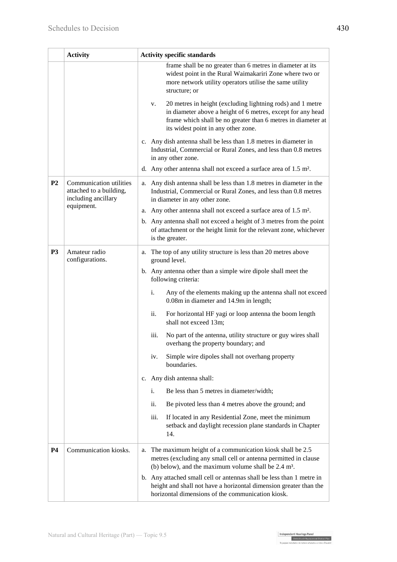|                                                                                             | <b>Activity</b>                  | <b>Activity specific standards</b>                                                                                                                                                                                                     |  |
|---------------------------------------------------------------------------------------------|----------------------------------|----------------------------------------------------------------------------------------------------------------------------------------------------------------------------------------------------------------------------------------|--|
|                                                                                             |                                  | frame shall be no greater than 6 metres in diameter at its<br>widest point in the Rural Waimakariri Zone where two or<br>more network utility operators utilise the same utility<br>structure; or                                      |  |
|                                                                                             |                                  | 20 metres in height (excluding lightning rods) and 1 metre<br>v.<br>in diameter above a height of 6 metres, except for any head<br>frame which shall be no greater than 6 metres in diameter at<br>its widest point in any other zone. |  |
|                                                                                             |                                  | c. Any dish antenna shall be less than 1.8 metres in diameter in<br>Industrial, Commercial or Rural Zones, and less than 0.8 metres<br>in any other zone.                                                                              |  |
|                                                                                             |                                  | d. Any other antenna shall not exceed a surface area of 1.5 m <sup>2</sup> .                                                                                                                                                           |  |
| Communication utilities<br>P <sub>2</sub><br>attached to a building,<br>including ancillary |                                  | a. Any dish antenna shall be less than 1.8 metres in diameter in the<br>Industrial, Commercial or Rural Zones, and less than 0.8 metres<br>in diameter in any other zone.                                                              |  |
|                                                                                             | equipment.                       | a. Any other antenna shall not exceed a surface area of 1.5 m <sup>2</sup> .                                                                                                                                                           |  |
|                                                                                             |                                  | b. Any antenna shall not exceed a height of 3 metres from the point<br>of attachment or the height limit for the relevant zone, whichever<br>is the greater.                                                                           |  |
| P <sub>3</sub>                                                                              | Amateur radio<br>configurations. | The top of any utility structure is less than 20 metres above<br>a.<br>ground level.                                                                                                                                                   |  |
|                                                                                             |                                  | b. Any antenna other than a simple wire dipole shall meet the<br>following criteria:                                                                                                                                                   |  |
|                                                                                             |                                  | Any of the elements making up the antenna shall not exceed<br>i.<br>0.08m in diameter and 14.9m in length;                                                                                                                             |  |
|                                                                                             |                                  | ii.<br>For horizontal HF yagi or loop antenna the boom length<br>shall not exceed 13m;                                                                                                                                                 |  |
|                                                                                             |                                  | No part of the antenna, utility structure or guy wires shall<br>iii.<br>overhang the property boundary; and                                                                                                                            |  |
|                                                                                             |                                  | Simple wire dipoles shall not overhang property<br>iv.<br>boundaries.                                                                                                                                                                  |  |
|                                                                                             |                                  | c. Any dish antenna shall:                                                                                                                                                                                                             |  |
|                                                                                             |                                  | Be less than 5 metres in diameter/width;<br>i.                                                                                                                                                                                         |  |
|                                                                                             |                                  | ii.<br>Be pivoted less than 4 metres above the ground; and                                                                                                                                                                             |  |
|                                                                                             |                                  | iii.<br>If located in any Residential Zone, meet the minimum<br>setback and daylight recession plane standards in Chapter<br>14.                                                                                                       |  |
| <b>P4</b>                                                                                   | Communication kiosks.            | The maximum height of a communication kiosk shall be 2.5<br>а.<br>metres (excluding any small cell or antenna permitted in clause<br>(b) below), and the maximum volume shall be $2.4 \text{ m}^3$ .                                   |  |
|                                                                                             |                                  | b. Any attached small cell or antennas shall be less than 1 metre in<br>height and shall not have a horizontal dimension greater than the<br>horizontal dimensions of the communication kiosk.                                         |  |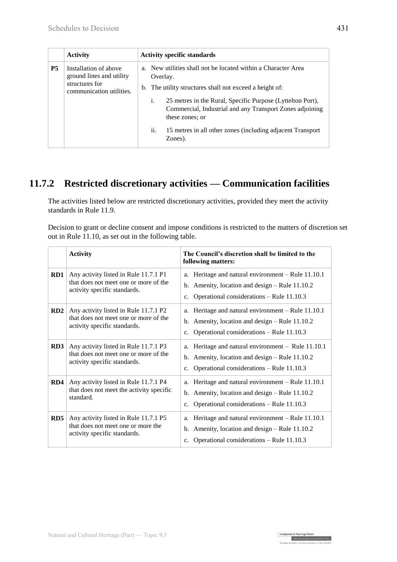|           | <b>Activity</b>                                                                                 | <b>Activity specific standards</b> |                                                                                                                                                                                                          |
|-----------|-------------------------------------------------------------------------------------------------|------------------------------------|----------------------------------------------------------------------------------------------------------------------------------------------------------------------------------------------------------|
| <b>P5</b> | Installation of above<br>ground lines and utility<br>structures for<br>communication utilities. |                                    | a. New utilities shall not be located within a Character Area<br>Overlay.<br>b. The utility structures shall not exceed a height of:<br>25 metres in the Rural, Specific Purpose (Lyttelton Port),<br>i. |
|           |                                                                                                 |                                    | Commercial, Industrial and any Transport Zones adjoining<br>these zones; or                                                                                                                              |
|           |                                                                                                 |                                    | ii.<br>15 metres in all other zones (including adjacent Transport<br>Zones).                                                                                                                             |

### **11.7.2 Restricted discretionary activities — Communication facilities**

The activities listed below are restricted discretionary activities, provided they meet the activity standards in Rule 11.9.

Decision to grant or decline consent and impose conditions is restricted to the matters of discretion set out in Rule 11.10, as set out in the following table.

|     | <b>Activity</b>                                                                                                | The Council's discretion shall be limited to the<br>following matters:                                                                                                             |
|-----|----------------------------------------------------------------------------------------------------------------|------------------------------------------------------------------------------------------------------------------------------------------------------------------------------------|
| RD1 | Any activity listed in Rule 11.7.1 P1<br>that does not meet one or more of the<br>activity specific standards. | Heritage and natural environment – Rule 11.10.1<br>a.<br>b. Amenity, location and design $-$ Rule 11.10.2<br>Operational considerations – Rule 11.10.3<br>$c_{\cdot}$              |
| RD2 | Any activity listed in Rule 11.7.1 P2<br>that does not meet one or more of the<br>activity specific standards. | Heritage and natural environment – Rule 11.10.1<br>a.<br>Amenity, location and design – Rule 11.10.2<br>b.<br>Operational considerations – Rule 11.10.3<br>c.                      |
| RD3 | Any activity listed in Rule 11.7.1 P3<br>that does not meet one or more of the<br>activity specific standards. | Heritage and natural environment - Rule 11.10.1<br>a.<br>Amenity, location and design – Rule 11.10.2<br>b.<br>Operational considerations – Rule 11.10.3<br>$C_{\star}$             |
| RD4 | Any activity listed in Rule 11.7.1 P4<br>that does not meet the activity specific<br>standard.                 | Heritage and natural environment - Rule 11.10.1<br>a.<br>Amenity, location and design – Rule 11.10.2<br>b.<br>Operational considerations - Rule 11.10.3<br>$c_{\cdot}$             |
| RD5 | Any activity listed in Rule 11.7.1 P5<br>that does not meet one or more the<br>activity specific standards.    | Heritage and natural environment - Rule 11.10.1<br>a.<br>Amenity, location and design – Rule 11.10.2<br>$\mathbf{b}$ .<br>Operational considerations – Rule 11.10.3<br>$c_{\cdot}$ |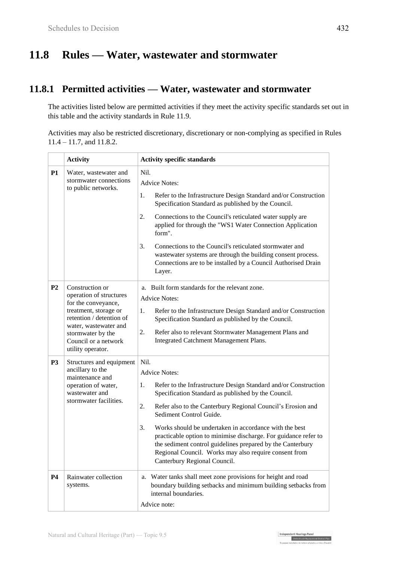# **11.8 Rules — Water, wastewater and stormwater**

### **11.8.1 Permitted activities — Water, wastewater and stormwater**

The activities listed below are permitted activities if they meet the activity specific standards set out in this table and the activity standards in Rule 11.9.

Activities may also be restricted discretionary, discretionary or non-complying as specified in Rules 11.4 – 11.7, and 11.8.2.

|                | <b>Activity</b>                                                                                                                                                                                                   | <b>Activity specific standards</b>                                                                                                                                                                                                                                                                                                                                                                                                                                                                                                                     |
|----------------|-------------------------------------------------------------------------------------------------------------------------------------------------------------------------------------------------------------------|--------------------------------------------------------------------------------------------------------------------------------------------------------------------------------------------------------------------------------------------------------------------------------------------------------------------------------------------------------------------------------------------------------------------------------------------------------------------------------------------------------------------------------------------------------|
| P1             | Water, wastewater and<br>stormwater connections<br>to public networks.                                                                                                                                            | Nil.<br><b>Advice Notes:</b>                                                                                                                                                                                                                                                                                                                                                                                                                                                                                                                           |
|                |                                                                                                                                                                                                                   | Refer to the Infrastructure Design Standard and/or Construction<br>1.<br>Specification Standard as published by the Council.                                                                                                                                                                                                                                                                                                                                                                                                                           |
|                |                                                                                                                                                                                                                   | Connections to the Council's reticulated water supply are<br>2.<br>applied for through the "WS1 Water Connection Application<br>form".                                                                                                                                                                                                                                                                                                                                                                                                                 |
|                |                                                                                                                                                                                                                   | 3.<br>Connections to the Council's reticulated stormwater and<br>wastewater systems are through the building consent process.<br>Connections are to be installed by a Council Authorised Drain<br>Layer.                                                                                                                                                                                                                                                                                                                                               |
| P <sub>2</sub> | Construction or<br>operation of structures<br>for the conveyance,<br>treatment, storage or<br>retention / detention of<br>water, wastewater and<br>stormwater by the<br>Council or a network<br>utility operator. | a. Built form standards for the relevant zone.<br><b>Advice Notes:</b><br>Refer to the Infrastructure Design Standard and/or Construction<br>1.<br>Specification Standard as published by the Council.<br>2.<br>Refer also to relevant Stormwater Management Plans and<br>Integrated Catchment Management Plans.                                                                                                                                                                                                                                       |
| P <sub>3</sub> | Structures and equipment<br>ancillary to the<br>maintenance and<br>operation of water,<br>wastewater and<br>stormwater facilities.                                                                                | Nil.<br><b>Advice Notes:</b><br>Refer to the Infrastructure Design Standard and/or Construction<br>1.<br>Specification Standard as published by the Council.<br>2.<br>Refer also to the Canterbury Regional Council's Erosion and<br>Sediment Control Guide.<br>Works should be undertaken in accordance with the best<br>3.<br>practicable option to minimise discharge. For guidance refer to<br>the sediment control guidelines prepared by the Canterbury<br>Regional Council. Works may also require consent from<br>Canterbury Regional Council. |
| P <sub>4</sub> | Rainwater collection<br>systems.                                                                                                                                                                                  | a. Water tanks shall meet zone provisions for height and road<br>boundary building setbacks and minimum building setbacks from<br>internal boundaries.<br>Advice note:                                                                                                                                                                                                                                                                                                                                                                                 |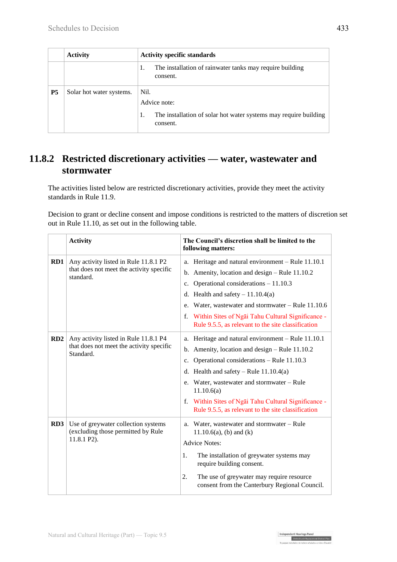|           | <b>Activity</b>          | <b>Activity specific standards</b>                                                                         |
|-----------|--------------------------|------------------------------------------------------------------------------------------------------------|
|           |                          | The installation of rainwater tanks may require building<br>1.<br>consent.                                 |
| <b>P5</b> | Solar hot water systems. | Nil.<br>Advice note:<br>The installation of solar hot water systems may require building<br>1.<br>consent. |

### **11.8.2 Restricted discretionary activities — water, wastewater and stormwater**

The activities listed below are restricted discretionary activities, provide they meet the activity standards in Rule 11.9.

Decision to grant or decline consent and impose conditions is restricted to the matters of discretion set out in Rule 11.10, as set out in the following table.

|     | <b>Activity</b>                                                                                | The Council's discretion shall be limited to the<br>following matters:                                                                                                                                                                                                                                                                                                             |
|-----|------------------------------------------------------------------------------------------------|------------------------------------------------------------------------------------------------------------------------------------------------------------------------------------------------------------------------------------------------------------------------------------------------------------------------------------------------------------------------------------|
| RD1 | Any activity listed in Rule 11.8.1 P2<br>that does not meet the activity specific<br>standard. | Heritage and natural environment - Rule 11.10.1<br>a.<br>Amenity, location and design - Rule 11.10.2<br>b.<br>Operational considerations $-11.10.3$<br>$c_{\cdot}$<br>d. Health and safety $-11.10.4(a)$<br>Water, wastewater and stormwater - Rule 11.10.6<br>e.<br>Within Sites of Ngai Tahu Cultural Significance -<br>f.<br>Rule 9.5.5, as relevant to the site classification |
| RD2 | Any activity listed in Rule 11.8.1 P4<br>that does not meet the activity specific<br>Standard. | Heritage and natural environment – Rule 11.10.1<br>а.<br>b. Amenity, location and design $-$ Rule 11.10.2<br>Operational considerations - Rule 11.10.3<br>c.<br>d. Health and safety – Rule $11.10.4(a)$<br>e. Water, wastewater and stormwater – Rule<br>11.10.6(a)<br>f. Within Sites of Ngai Tahu Cultural Significance -<br>Rule 9.5.5, as relevant to the site classification |
| RD3 | Use of greywater collection systems<br>(excluding those permitted by Rule<br>11.8.1 P2).       | Water, wastewater and stormwater – Rule<br>a.<br>$11.10.6(a)$ , (b) and (k)<br><b>Advice Notes:</b><br>The installation of greywater systems may<br>1.<br>require building consent.<br>The use of greywater may require resource<br>2.<br>consent from the Canterbury Regional Council.                                                                                            |

Independent Hearings Panel<br>Christchurch Replacement District Plan<br>Te gaegae motubake o te mahore ubakabou a robe o Otautah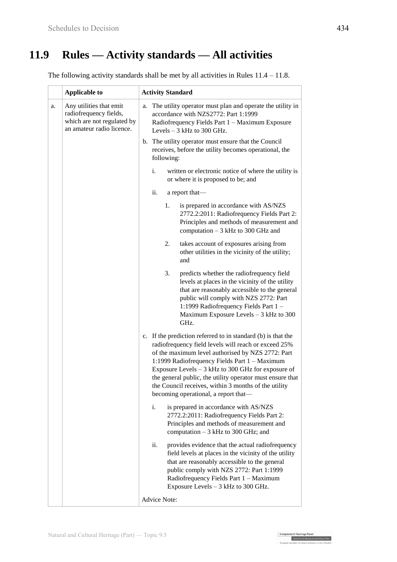# **11.9 Rules — Activity standards — All activities**

The following activity standards shall be met by all activities in Rules 11.4 – 11.8.

|    | <b>Applicable to</b>                                                                                         | <b>Activity Standard</b>                                                                                                                                                                                                                                                                                                                                                                                                                       |
|----|--------------------------------------------------------------------------------------------------------------|------------------------------------------------------------------------------------------------------------------------------------------------------------------------------------------------------------------------------------------------------------------------------------------------------------------------------------------------------------------------------------------------------------------------------------------------|
| a. | Any utilities that emit<br>radiofrequency fields,<br>which are not regulated by<br>an amateur radio licence. | The utility operator must plan and operate the utility in<br>a.<br>accordance with NZS2772: Part 1:1999<br>Radiofrequency Fields Part 1 - Maximum Exposure<br>Levels $-3$ kHz to 300 GHz.                                                                                                                                                                                                                                                      |
|    |                                                                                                              | b. The utility operator must ensure that the Council<br>receives, before the utility becomes operational, the<br>following:                                                                                                                                                                                                                                                                                                                    |
|    |                                                                                                              | written or electronic notice of where the utility is<br>i.<br>or where it is proposed to be; and                                                                                                                                                                                                                                                                                                                                               |
|    |                                                                                                              | ii.<br>a report that-                                                                                                                                                                                                                                                                                                                                                                                                                          |
|    |                                                                                                              | is prepared in accordance with AS/NZS<br>1.<br>2772.2:2011: Radiofrequency Fields Part 2:<br>Principles and methods of measurement and<br>computation $-3$ kHz to 300 GHz and                                                                                                                                                                                                                                                                  |
|    |                                                                                                              | takes account of exposures arising from<br>2.<br>other utilities in the vicinity of the utility;<br>and                                                                                                                                                                                                                                                                                                                                        |
|    |                                                                                                              | 3.<br>predicts whether the radiofrequency field<br>levels at places in the vicinity of the utility<br>that are reasonably accessible to the general<br>public will comply with NZS 2772: Part<br>1:1999 Radiofrequency Fields Part 1 -<br>Maximum Exposure Levels - 3 kHz to 300<br>GHz.                                                                                                                                                       |
|    |                                                                                                              | c. If the prediction referred to in standard (b) is that the<br>radiofrequency field levels will reach or exceed 25%<br>of the maximum level authorised by NZS 2772: Part<br>1:1999 Radiofrequency Fields Part 1 - Maximum<br>Exposure Levels $-3$ kHz to 300 GHz for exposure of<br>the general public, the utility operator must ensure that<br>the Council receives, within 3 months of the utility<br>becoming operational, a report that— |
|    |                                                                                                              | is prepared in accordance with AS/NZS<br>i.<br>2772.2:2011: Radiofrequency Fields Part 2:<br>Principles and methods of measurement and<br>computation $-3$ kHz to 300 GHz; and                                                                                                                                                                                                                                                                 |
|    |                                                                                                              | ii.<br>provides evidence that the actual radiofrequency<br>field levels at places in the vicinity of the utility<br>that are reasonably accessible to the general<br>public comply with NZS 2772: Part 1:1999<br>Radiofrequency Fields Part 1 - Maximum<br>Exposure Levels - 3 kHz to 300 GHz.                                                                                                                                                 |
|    |                                                                                                              | <b>Advice Note:</b>                                                                                                                                                                                                                                                                                                                                                                                                                            |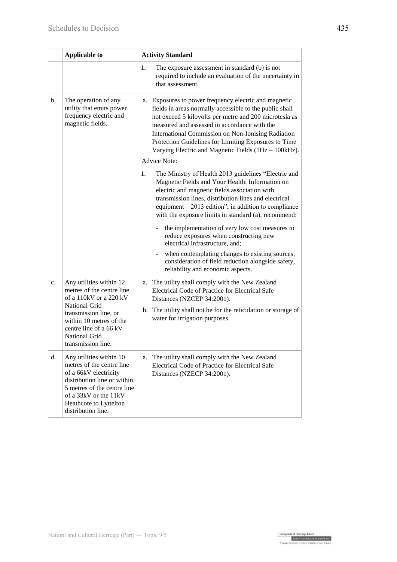|    | <b>Applicable to</b>                                                                                                                                                                                                        | <b>Activity Standard</b>                                                                                                                                                                                                                                                                                                                                                                         |
|----|-----------------------------------------------------------------------------------------------------------------------------------------------------------------------------------------------------------------------------|--------------------------------------------------------------------------------------------------------------------------------------------------------------------------------------------------------------------------------------------------------------------------------------------------------------------------------------------------------------------------------------------------|
|    |                                                                                                                                                                                                                             | 1.<br>The exposure assessment in standard (b) is not<br>required to include an evaluation of the uncertainty in<br>that assessment.                                                                                                                                                                                                                                                              |
| b. | The operation of any<br>utility that emits power<br>frequency electric and<br>magnetic fields.                                                                                                                              | a. Exposures to power frequency electric and magnetic<br>fields in areas normally accessible to the public shall<br>not exceed 5 kilovolts per metre and 200 microtesla as<br>measured and assessed in accordance with the<br>International Commission on Non-Ionising Radiation<br>Protection Guidelines for Limiting Exposures to Time<br>Varying Electric and Magnetic Fields (1Hz - 100kHz). |
|    |                                                                                                                                                                                                                             | <b>Advice Note:</b>                                                                                                                                                                                                                                                                                                                                                                              |
|    |                                                                                                                                                                                                                             | The Ministry of Health 2013 guidelines "Electric and<br>1.<br>Magnetic Fields and Your Health: Information on<br>electric and magnetic fields association with<br>transmission lines, distribution lines and electrical<br>equipment $-2013$ edition", in addition to compliance<br>with the exposure limits in standard (a), recommend:                                                         |
|    |                                                                                                                                                                                                                             | the implementation of very low cost measures to<br>reduce exposures when constructing new<br>electrical infrastructure, and;                                                                                                                                                                                                                                                                     |
|    |                                                                                                                                                                                                                             | when contemplating changes to existing sources,<br>consideration of field reduction alongside safety,<br>reliability and economic aspects.                                                                                                                                                                                                                                                       |
| c. | Any utilities within 12<br>metres of the centre line<br>of a 110kV or a 220 kV<br>National Grid<br>transmission line, or<br>within 10 metres of the<br>centre line of a 66 kV<br><b>National Grid</b><br>transmission line. | a. The utility shall comply with the New Zealand<br>Electrical Code of Practice for Electrical Safe<br>Distances (NZCEP 34:2001).                                                                                                                                                                                                                                                                |
|    |                                                                                                                                                                                                                             | b. The utility shall not be for the reticulation or storage of<br>water for irrigation purposes.                                                                                                                                                                                                                                                                                                 |
| d. | Any utilities within 10<br>metres of the centre line<br>of a 66kV electricity<br>distribution line or within<br>5 metres of the centre line<br>of a 33kV or the 11kV<br>Heathcote to Lyttelton<br>distribution line.        | The utility shall comply with the New Zealand<br>a.<br>Electrical Code of Practice for Electrical Safe<br>Distances (NZECP 34:2001).                                                                                                                                                                                                                                                             |

Independent Hearings Panel<br>Christchurch Replacement District Plan<br>Theorete Christian de makers makeban a reken Orania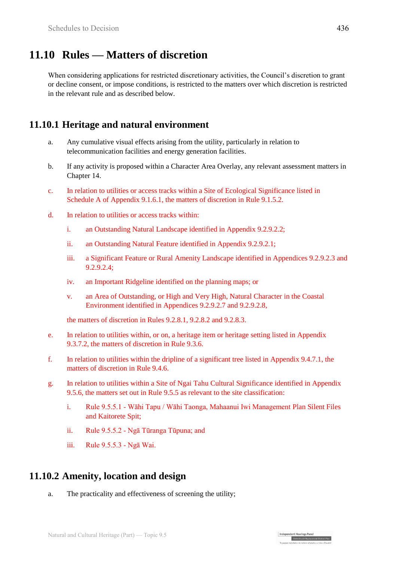## **11.10 Rules — Matters of discretion**

When considering applications for restricted discretionary activities, the Council's discretion to grant or decline consent, or impose conditions, is restricted to the matters over which discretion is restricted in the relevant rule and as described below.

#### **11.10.1 Heritage and natural environment**

- a. Any cumulative visual effects arising from the utility, particularly in relation to telecommunication facilities and energy generation facilities.
- b. If any activity is proposed within a Character Area Overlay, any relevant assessment matters in Chapter 14.
- c. In relation to utilities or access tracks within a Site of Ecological Significance listed in Schedule A of Appendix 9.1.6.1, the matters of discretion in Rule 9.1.5.2.
- d. In relation to utilities or access tracks within:
	- i. an Outstanding Natural Landscape identified in Appendix 9.2.9.2.2;
	- ii. an Outstanding Natural Feature identified in Appendix 9.2.9.2.1;
	- iii. a Significant Feature or Rural Amenity Landscape identified in Appendices 9.2.9.2.3 and 9.2.9.2.4;
	- iv. an Important Ridgeline identified on the planning maps; or
	- v. an Area of Outstanding, or High and Very High, Natural Character in the Coastal Environment identified in Appendices 9.2.9.2.7 and 9.2.9.2.8,

the matters of discretion in Rules 9.2.8.1, 9.2.8.2 and 9.2.8.3.

- e. In relation to utilities within, or on, a heritage item or heritage setting listed in Appendix 9.3.7.2, the matters of discretion in Rule 9.3.6.
- f. In relation to utilities within the dripline of a significant tree listed in Appendix 9.4.7.1, the matters of discretion in Rule 9.4.6.
- g. In relation to utilities within a Site of Ngai Tahu Cultural Significance identified in Appendix 9.5.6, the matters set out in Rule 9.5.5 as relevant to the site classification:
	- i. Rule 9.5.5.1 Wāhi Tapu / Wāhi Taonga, Mahaanui Iwi Management Plan Silent Files and Kaitorete Spit;

Independent Hearings Panel

Christchurch Replacement District Plan

- ii. Rule 9.5.5.2 Ngā Tūranga Tūpuna; and
- iii. Rule 9.5.5.3 Ngā Wai.

#### **11.10.2 Amenity, location and design**

a. The practicality and effectiveness of screening the utility;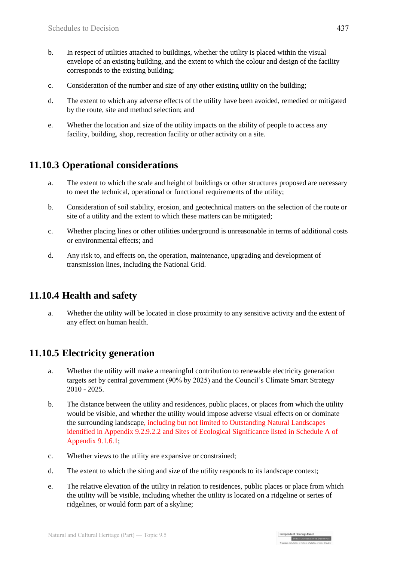- b. In respect of utilities attached to buildings, whether the utility is placed within the visual envelope of an existing building, and the extent to which the colour and design of the facility corresponds to the existing building;
- c. Consideration of the number and size of any other existing utility on the building;
- d. The extent to which any adverse effects of the utility have been avoided, remedied or mitigated by the route, site and method selection; and
- e. Whether the location and size of the utility impacts on the ability of people to access any facility, building, shop, recreation facility or other activity on a site.

### **11.10.3 Operational considerations**

- a. The extent to which the scale and height of buildings or other structures proposed are necessary to meet the technical, operational or functional requirements of the utility;
- b. Consideration of soil stability, erosion, and geotechnical matters on the selection of the route or site of a utility and the extent to which these matters can be mitigated;
- c. Whether placing lines or other utilities underground is unreasonable in terms of additional costs or environmental effects; and
- d. Any risk to, and effects on, the operation, maintenance, upgrading and development of transmission lines, including the National Grid.

#### **11.10.4 Health and safety**

a. Whether the utility will be located in close proximity to any sensitive activity and the extent of any effect on human health.

### **11.10.5 Electricity generation**

- a. Whether the utility will make a meaningful contribution to renewable electricity generation targets set by central government (90% by 2025) and the Council's Climate Smart Strategy 2010 - 2025.
- b. The distance between the utility and residences, public places, or places from which the utility would be visible, and whether the utility would impose adverse visual effects on or dominate the surrounding landscape, including but not limited to Outstanding Natural Landscapes identified in Appendix 9.2.9.2.2 and Sites of Ecological Significance listed in Schedule A of Appendix 9.1.6.1;
- c. Whether views to the utility are expansive or constrained;
- d. The extent to which the siting and size of the utility responds to its landscape context;
- e. The relative elevation of the utility in relation to residences, public places or place from which the utility will be visible, including whether the utility is located on a ridgeline or series of ridgelines, or would form part of a skyline;

| Independent Hearings Pane

Christchurch Replacement District Plan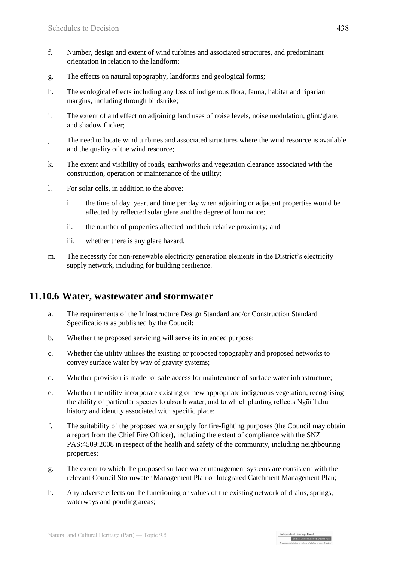- f. Number, design and extent of wind turbines and associated structures, and predominant orientation in relation to the landform;
- g. The effects on natural topography, landforms and geological forms;
- h. The ecological effects including any loss of indigenous flora, fauna, habitat and riparian margins, including through birdstrike;
- i. The extent of and effect on adjoining land uses of noise levels, noise modulation, glint/glare, and shadow flicker;
- j. The need to locate wind turbines and associated structures where the wind resource is available and the quality of the wind resource;
- k. The extent and visibility of roads, earthworks and vegetation clearance associated with the construction, operation or maintenance of the utility;
- l. For solar cells, in addition to the above:
	- i. the time of day, year, and time per day when adjoining or adjacent properties would be affected by reflected solar glare and the degree of luminance;
	- ii. the number of properties affected and their relative proximity; and
	- iii. whether there is any glare hazard.
- m. The necessity for non-renewable electricity generation elements in the District's electricity supply network, including for building resilience.

#### **11.10.6 Water, wastewater and stormwater**

- a. The requirements of the Infrastructure Design Standard and/or Construction Standard Specifications as published by the Council;
- b. Whether the proposed servicing will serve its intended purpose;
- c. Whether the utility utilises the existing or proposed topography and proposed networks to convey surface water by way of gravity systems;
- d. Whether provision is made for safe access for maintenance of surface water infrastructure;
- e. Whether the utility incorporate existing or new appropriate indigenous vegetation, recognising the ability of particular species to absorb water, and to which planting reflects Ngāi Tahu history and identity associated with specific place;
- f. The suitability of the proposed water supply for fire-fighting purposes (the Council may obtain a report from the Chief Fire Officer), including the extent of compliance with the SNZ PAS:4509:2008 in respect of the health and safety of the community, including neighbouring properties;
- g. The extent to which the proposed surface water management systems are consistent with the relevant Council Stormwater Management Plan or Integrated Catchment Management Plan;
- h. Any adverse effects on the functioning or values of the existing network of drains, springs, waterways and ponding areas;